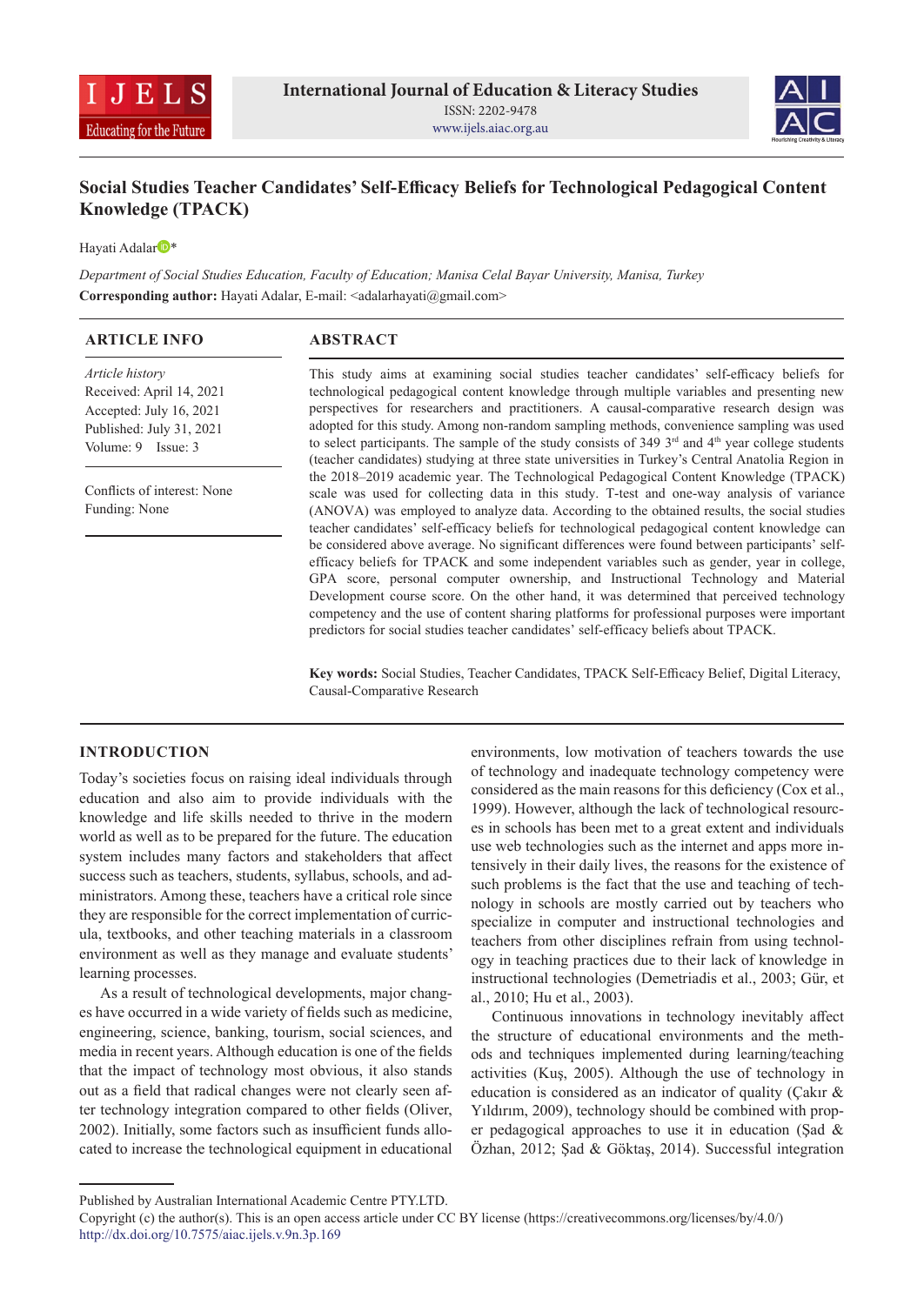



# **Social Studies Teacher Candidates' Self-Efficacy Beliefs for Technological Pedagogical Content Knowledge (TPACK)**

Hayati Adalar<sup>D\*</sup>

*Department of Social Studies Education, Faculty of Education; Manisa Celal Bayar University, Manisa, Turkey* Corresponding author: Hayati Adalar, E-mail: <adalarhayati@gmail.com>

| <b>ARTICLE INFO</b>                                                                                                      | <b>ABSTRACT</b>                                                                                                                                                                                                                                                                                                                                                                                                                                                                                                                                                                                                                                                                                                                                                                                                                                                                                                                                            |
|--------------------------------------------------------------------------------------------------------------------------|------------------------------------------------------------------------------------------------------------------------------------------------------------------------------------------------------------------------------------------------------------------------------------------------------------------------------------------------------------------------------------------------------------------------------------------------------------------------------------------------------------------------------------------------------------------------------------------------------------------------------------------------------------------------------------------------------------------------------------------------------------------------------------------------------------------------------------------------------------------------------------------------------------------------------------------------------------|
| Article history<br>Received: April 14, 2021<br>Accepted: July 16, 2021<br>Published: July 31, 2021<br>Volume: 9 Issue: 3 | This study aims at examining social studies teacher candidates' self-efficacy beliefs for<br>technological pedagogical content knowledge through multiple variables and presenting new<br>perspectives for researchers and practitioners. A causal-comparative research design was<br>adopted for this study. Among non-random sampling methods, convenience sampling was used<br>to select participants. The sample of the study consists of 349 $3rd$ and 4 <sup>th</sup> year college students<br>(teacher candidates) studying at three state universities in Turkey's Central Anatolia Region in                                                                                                                                                                                                                                                                                                                                                      |
| Conflicts of interest: None<br>Funding: None                                                                             | the 2018–2019 academic year. The Technological Pedagogical Content Knowledge (TPACK)<br>scale was used for collecting data in this study. T-test and one-way analysis of variance<br>(ANOVA) was employed to analyze data. According to the obtained results, the social studies<br>teacher candidates' self-efficacy beliefs for technological pedagogical content knowledge can<br>be considered above average. No significant differences were found between participants' self-<br>efficacy beliefs for TPACK and some independent variables such as gender, year in college,<br>GPA score, personal computer ownership, and Instructional Technology and Material<br>Development course score. On the other hand, it was determined that perceived technology<br>competency and the use of content sharing platforms for professional purposes were important<br>predictors for social studies teacher candidates' self-efficacy beliefs about TPACK. |

**Key words:** Social Studies, Teacher Candidates, TPACK Self-Efficacy Belief, Digital Literacy, Causal-Comparative Research

#### **INTRODUCTION**

Today's societies focus on raising ideal individuals through education and also aim to provide individuals with the knowledge and life skills needed to thrive in the modern world as well as to be prepared for the future. The education system includes many factors and stakeholders that affect success such as teachers, students, syllabus, schools, and administrators. Among these, teachers have a critical role since they are responsible for the correct implementation of curricula, textbooks, and other teaching materials in a classroom environment as well as they manage and evaluate students' learning processes.

As a result of technological developments, major changes have occurred in a wide variety of fields such as medicine, engineering, science, banking, tourism, social sciences, and media in recent years. Although education is one of the fields that the impact of technology most obvious, it also stands out as a field that radical changes were not clearly seen after technology integration compared to other fields (Oliver, 2002). Initially, some factors such as insufficient funds allocated to increase the technological equipment in educational

environments, low motivation of teachers towards the use of technology and inadequate technology competency were considered as the main reasons for this deficiency (Cox et al., 1999). However, although the lack of technological resources in schools has been met to a great extent and individuals use web technologies such as the internet and apps more intensively in their daily lives, the reasons for the existence of such problems is the fact that the use and teaching of technology in schools are mostly carried out by teachers who specialize in computer and instructional technologies and teachers from other disciplines refrain from using technology in teaching practices due to their lack of knowledge in instructional technologies (Demetriadis et al., 2003; Gür, et al., 2010; Hu et al., 2003).

Continuous innovations in technology inevitably affect the structure of educational environments and the methods and techniques implemented during learning/teaching activities (Kuş, 2005). Although the use of technology in education is considered as an indicator of quality (Çakır & Yıldırım, 2009), technology should be combined with proper pedagogical approaches to use it in education (Şad & Özhan, 2012; Şad & Göktaş, 2014). Successful integration

Published by Australian International Academic Centre PTY.LTD.

Copyright (c) the author(s). This is an open access article under CC BY license (https://creativecommons.org/licenses/by/4.0/) http://dx.doi.org/10.7575/aiac.ijels.v.9n.3p.169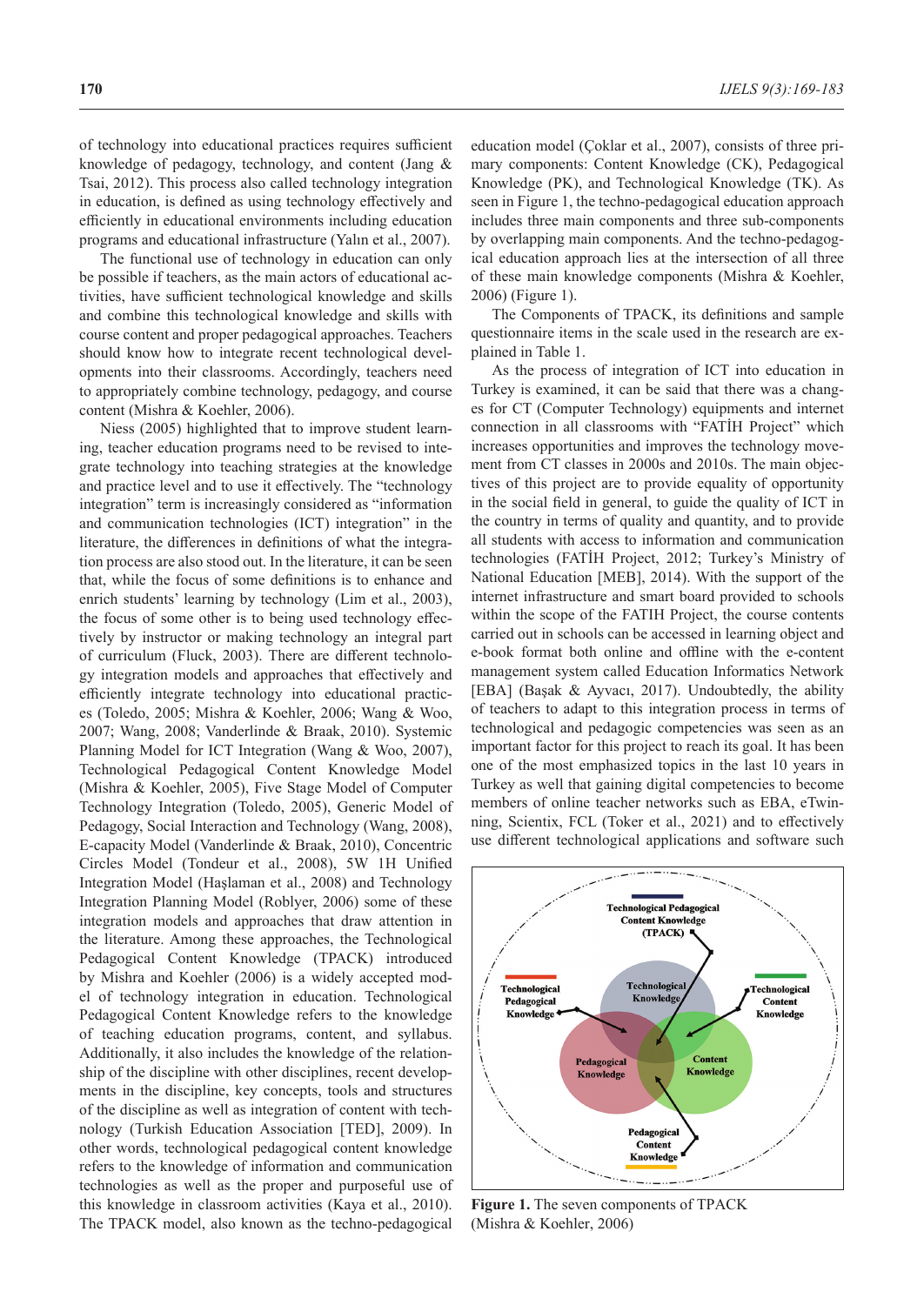of technology into educational practices requires sufficient knowledge of pedagogy, technology, and content (Jang & Tsai, 2012). This process also called technology integration in education, is defined as using technology effectively and efficiently in educational environments including education programs and educational infrastructure (Yalın et al., 2007).

The functional use of technology in education can only be possible if teachers, as the main actors of educational activities, have sufficient technological knowledge and skills and combine this technological knowledge and skills with course content and proper pedagogical approaches. Teachers should know how to integrate recent technological developments into their classrooms. Accordingly, teachers need to appropriately combine technology, pedagogy, and course content (Mishra & Koehler, 2006).

Niess (2005) highlighted that to improve student learning, teacher education programs need to be revised to integrate technology into teaching strategies at the knowledge and practice level and to use it effectively. The "technology integration" term is increasingly considered as "information and communication technologies (ICT) integration" in the literature, the differences in definitions of what the integration process are also stood out. In the literature, it can be seen that, while the focus of some definitions is to enhance and enrich students' learning by technology (Lim et al., 2003), the focus of some other is to being used technology effectively by instructor or making technology an integral part of curriculum (Fluck, 2003). There are different technology integration models and approaches that effectively and efficiently integrate technology into educational practices (Toledo, 2005; Mishra & Koehler, 2006; Wang & Woo, 2007; Wang, 2008; Vanderlinde & Braak, 2010). Systemic Planning Model for ICT Integration (Wang & Woo, 2007), Technological Pedagogical Content Knowledge Model (Mishra & Koehler, 2005), Five Stage Model of Computer Technology Integration (Toledo, 2005), Generic Model of Pedagogy, Social Interaction and Technology (Wang, 2008), E-capacity Model (Vanderlinde & Braak, 2010), Concentric Circles Model (Tondeur et al., 2008), 5W 1H Unified Integration Model (Haşlaman et al., 2008) and Technology Integration Planning Model (Roblyer, 2006) some of these integration models and approaches that draw attention in the literature. Among these approaches, the Technological Pedagogical Content Knowledge (TPACK) introduced by Mishra and Koehler (2006) is a widely accepted model of technology integration in education. Technological Pedagogical Content Knowledge refers to the knowledge of teaching education programs, content, and syllabus. Additionally, it also includes the knowledge of the relationship of the discipline with other disciplines, recent developments in the discipline, key concepts, tools and structures of the discipline as well as integration of content with technology (Turkish Education Association [TED], 2009). In other words, technological pedagogical content knowledge refers to the knowledge of information and communication technologies as well as the proper and purposeful use of this knowledge in classroom activities (Kaya et al., 2010). The TPACK model, also known as the techno-pedagogical

education model (Çoklar et al., 2007), consists of three primary components: Content Knowledge (CK), Pedagogical Knowledge (PK), and Technological Knowledge (TK). As seen in Figure 1, the techno-pedagogical education approach includes three main components and three sub-components by overlapping main components. And the techno-pedagogical education approach lies at the intersection of all three of these main knowledge components (Mishra & Koehler, 2006) (Figure 1).

The Components of TPACK, its definitions and sample questionnaire items in the scale used in the research are explained in Table 1.

As the process of integration of ICT into education in Turkey is examined, it can be said that there was a changes for CT (Computer Technology) equipments and internet connection in all classrooms with "FATİH Project" which increases opportunities and improves the technology movement from CT classes in 2000s and 2010s. The main objectives of this project are to provide equality of opportunity in the social field in general, to guide the quality of ICT in the country in terms of quality and quantity, and to provide all students with access to information and communication technologies (FATİH Project, 2012; Turkey's Ministry of National Education [MEB], 2014). With the support of the internet infrastructure and smart board provided to schools within the scope of the FATIH Project, the course contents carried out in schools can be accessed in learning object and e-book format both online and offline with the e-content management system called Education Informatics Network [EBA] (Başak & Ayvacı, 2017). Undoubtedly, the ability of teachers to adapt to this integration process in terms of technological and pedagogic competencies was seen as an important factor for this project to reach its goal. It has been one of the most emphasized topics in the last 10 years in Turkey as well that gaining digital competencies to become members of online teacher networks such as EBA, eTwinning, Scientix, FCL (Toker et al., 2021) and to effectively use different technological applications and software such



**Figure 1.** The seven components of TPACK (Mishra & Koehler, 2006)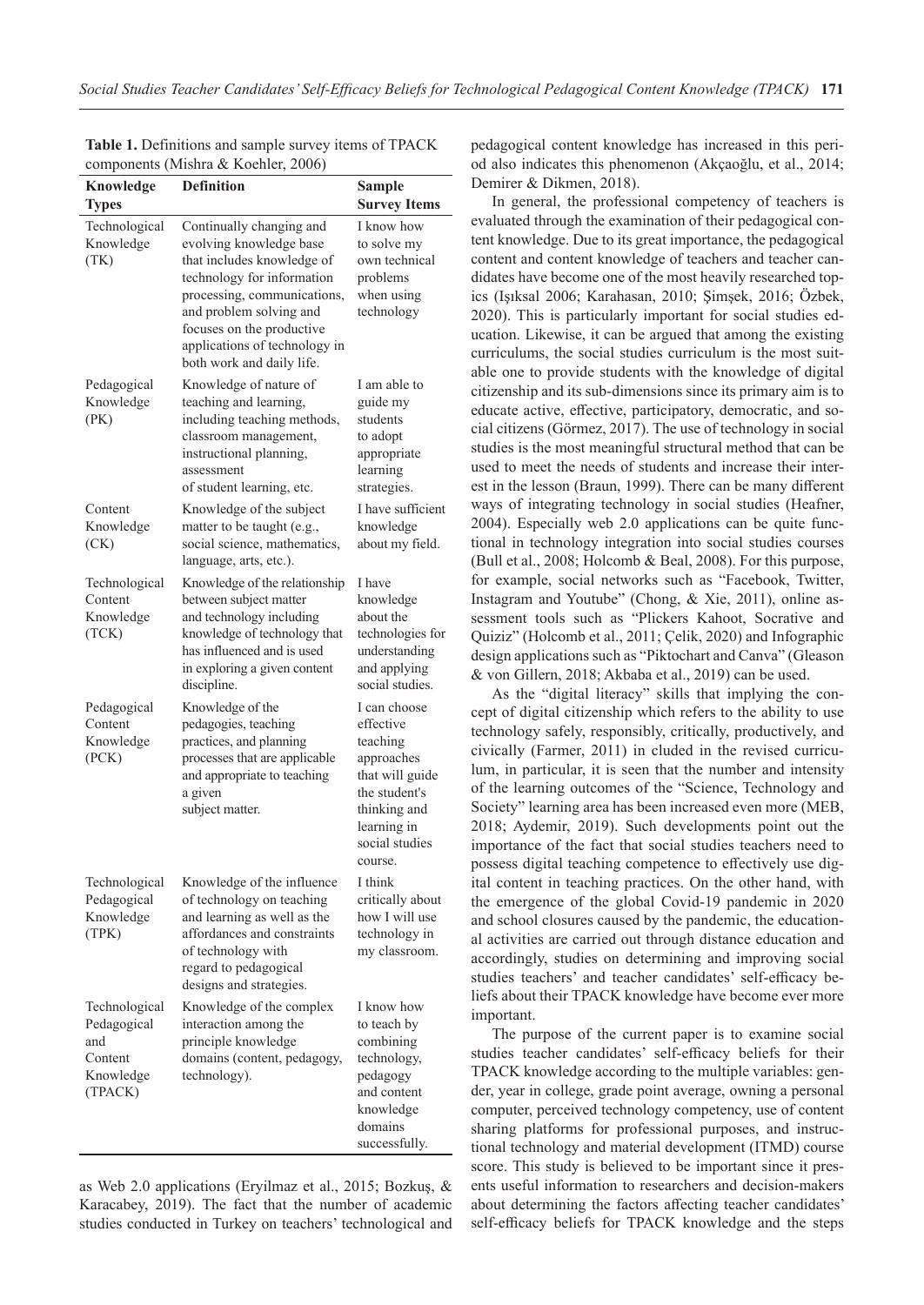| <b>Knowledge</b>                                                       | <b>Definition</b>                                                                                                                                                                                                                                                    | Sample                                                                                                                                              |
|------------------------------------------------------------------------|----------------------------------------------------------------------------------------------------------------------------------------------------------------------------------------------------------------------------------------------------------------------|-----------------------------------------------------------------------------------------------------------------------------------------------------|
| <b>Types</b>                                                           |                                                                                                                                                                                                                                                                      | <b>Survey Items</b>                                                                                                                                 |
| Technological<br>Knowledge<br>(TK)                                     | Continually changing and<br>evolving knowledge base<br>that includes knowledge of<br>technology for information<br>processing, communications,<br>and problem solving and<br>focuses on the productive<br>applications of technology in<br>both work and daily life. | I know how<br>to solve my<br>own technical<br>problems<br>when using<br>technology                                                                  |
| Pedagogical<br>Knowledge<br>(PK)                                       | Knowledge of nature of<br>teaching and learning,<br>including teaching methods,<br>classroom management,<br>instructional planning,<br>assessment<br>of student learning, etc.                                                                                       | I am able to<br>guide my<br>students<br>to adopt<br>appropriate<br>learning<br>strategies.                                                          |
| Content<br>Knowledge<br>(CK)                                           | Knowledge of the subject<br>matter to be taught (e.g.,<br>social science, mathematics,<br>language, arts, etc.).                                                                                                                                                     | I have sufficient<br>knowledge<br>about my field.                                                                                                   |
| Technological<br>Content<br>Knowledge<br>(TCK)                         | Knowledge of the relationship<br>between subject matter<br>and technology including<br>knowledge of technology that<br>has influenced and is used<br>in exploring a given content<br>discipline.                                                                     | I have<br>knowledge<br>about the<br>technologies for<br>understanding<br>and applying<br>social studies.                                            |
| Pedagogical<br>Content<br>Knowledge<br>(PCK)                           | Knowledge of the<br>pedagogies, teaching<br>practices, and planning<br>processes that are applicable<br>and appropriate to teaching<br>a given<br>subject matter.                                                                                                    | I can choose<br>effective<br>teaching<br>approaches<br>that will guide<br>the student's<br>thinking and<br>learning in<br>social studies<br>course. |
| Technological<br>Pedagogical<br>Knowledge<br>(TPK)                     | Knowledge of the influence<br>of technology on teaching<br>and learning as well as the<br>affordances and constraints<br>of technology with<br>regard to pedagogical<br>designs and strategies.                                                                      | I think<br>critically about<br>how I will use<br>technology in<br>my classroom.                                                                     |
| Technological<br>Pedagogical<br>and<br>Content<br>Knowledge<br>(TPACK) | Knowledge of the complex<br>interaction among the<br>principle knowledge<br>domains (content, pedagogy,<br>technology).                                                                                                                                              | I know how<br>to teach by<br>combining<br>technology,<br>pedagogy<br>and content<br>knowledge<br>domains<br>successfully.                           |

**Table 1.** Definitions and sample survey items of TPACK components (Mishra & Koehler, 2006)

as Web 2.0 applications (Eryilmaz et al., 2015; Bozkuş, & Karacabey, 2019). The fact that the number of academic studies conducted in Turkey on teachers' technological and pedagogical content knowledge has increased in this period also indicates this phenomenon (Akçaoğlu, et al., 2014; Demirer & Dikmen, 2018).

In general, the professional competency of teachers is evaluated through the examination of their pedagogical content knowledge. Due to its great importance, the pedagogical content and content knowledge of teachers and teacher candidates have become one of the most heavily researched topics (Işıksal 2006; Karahasan, 2010; Şimşek, 2016; Özbek, 2020). This is particularly important for social studies education. Likewise, it can be argued that among the existing curriculums, the social studies curriculum is the most suitable one to provide students with the knowledge of digital citizenship and its sub-dimensions since its primary aim is to educate active, effective, participatory, democratic, and social citizens (Görmez, 2017). The use of technology in social studies is the most meaningful structural method that can be used to meet the needs of students and increase their interest in the lesson (Braun, 1999). There can be many different ways of integrating technology in social studies (Heafner, 2004). Especially web 2.0 applications can be quite functional in technology integration into social studies courses (Bull et al., 2008; Holcomb & Beal, 2008). For this purpose, for example, social networks such as "Facebook, Twitter, Instagram and Youtube" (Chong, & Xie, 2011), online assessment tools such as "Plickers Kahoot, Socrative and Quiziz" (Holcomb et al., 2011; Çelik, 2020) and Infographic design applications such as "Piktochart and Canva" (Gleason & von Gillern, 2018; Akbaba et al., 2019) can be used.

As the "digital literacy" skills that implying the concept of digital citizenship which refers to the ability to use technology safely, responsibly, critically, productively, and civically (Farmer, 2011) in cluded in the revised curriculum, in particular, it is seen that the number and intensity of the learning outcomes of the "Science, Technology and Society" learning area has been increased even more (MEB, 2018; Aydemir, 2019). Such developments point out the importance of the fact that social studies teachers need to possess digital teaching competence to effectively use digital content in teaching practices. On the other hand, with the emergence of the global Covid-19 pandemic in 2020 and school closures caused by the pandemic, the educational activities are carried out through distance education and accordingly, studies on determining and improving social studies teachers' and teacher candidates' self-efficacy beliefs about their TPACK knowledge have become ever more important.

The purpose of the current paper is to examine social studies teacher candidates' self-efficacy beliefs for their TPACK knowledge according to the multiple variables: gender, year in college, grade point average, owning a personal computer, perceived technology competency, use of content sharing platforms for professional purposes, and instructional technology and material development (ITMD) course score. This study is believed to be important since it presents useful information to researchers and decision-makers about determining the factors affecting teacher candidates' self-efficacy beliefs for TPACK knowledge and the steps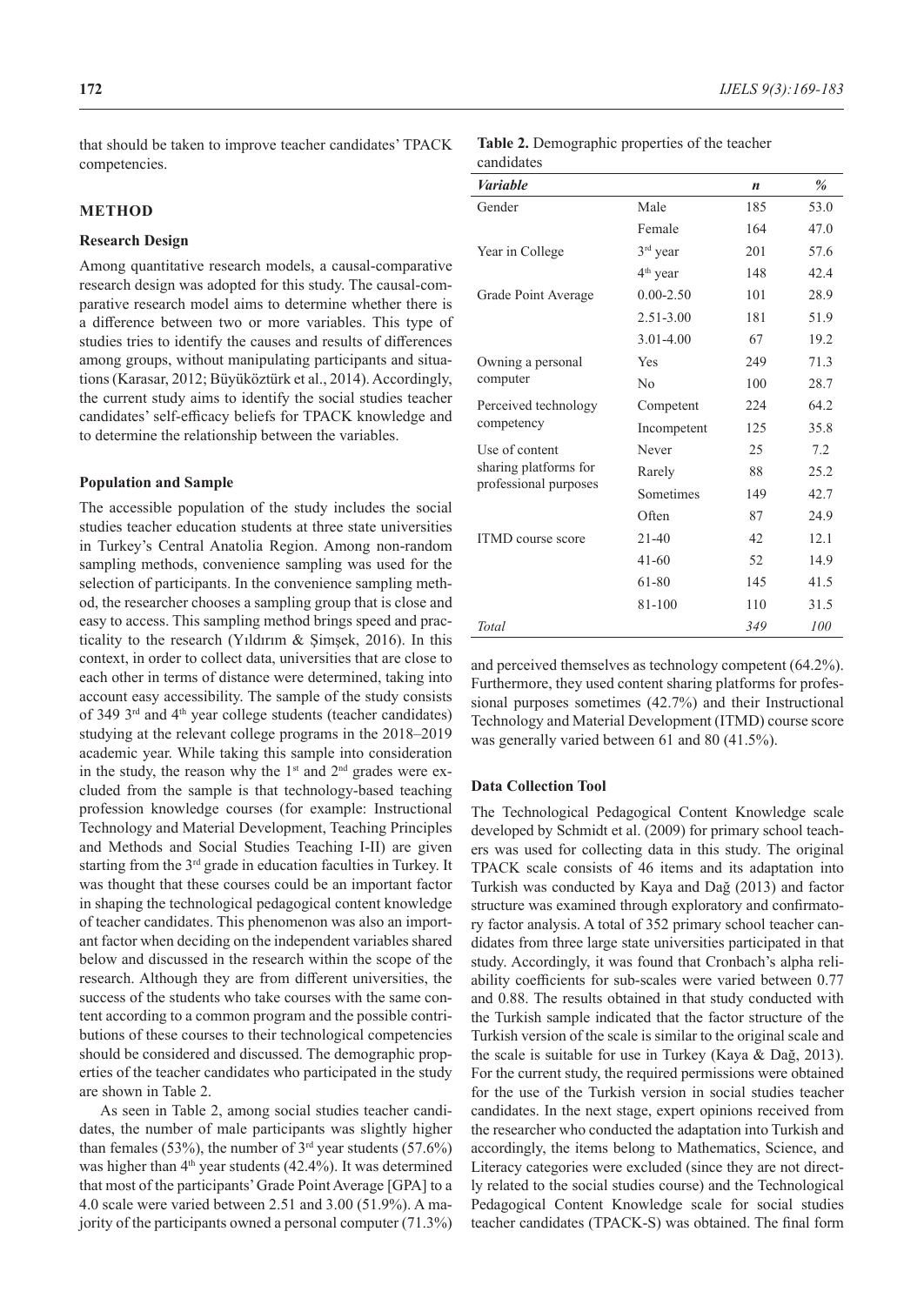that should be taken to improve teacher candidates' TPACK competencies.

### **METHOD**

#### **Research Design**

Among quantitative research models, a causal-comparative research design was adopted for this study. The causal-comparative research model aims to determine whether there is a difference between two or more variables. This type of studies tries to identify the causes and results of differences among groups, without manipulating participants and situations (Karasar, 2012; Büyüköztürk et al., 2014). Accordingly, the current study aims to identify the social studies teacher candidates' self-efficacy beliefs for TPACK knowledge and to determine the relationship between the variables.

#### **Population and Sample**

The accessible population of the study includes the social studies teacher education students at three state universities in Turkey's Central Anatolia Region. Among non-random sampling methods, convenience sampling was used for the selection of participants. In the convenience sampling method, the researcher chooses a sampling group that is close and easy to access. This sampling method brings speed and practicality to the research (Yıldırım & Şimşek, 2016). In this context, in order to collect data, universities that are close to each other in terms of distance were determined, taking into account easy accessibility. The sample of the study consists of 349 3rd and 4th year college students (teacher candidates) studying at the relevant college programs in the 2018–2019 academic year. While taking this sample into consideration in the study, the reason why the  $1<sup>st</sup>$  and  $2<sup>nd</sup>$  grades were excluded from the sample is that technology-based teaching profession knowledge courses (for example: Instructional Technology and Material Development, Teaching Principles and Methods and Social Studies Teaching I-II) are given starting from the 3<sup>rd</sup> grade in education faculties in Turkey. It was thought that these courses could be an important factor in shaping the technological pedagogical content knowledge of teacher candidates. This phenomenon was also an important factor when deciding on the independent variables shared below and discussed in the research within the scope of the research. Although they are from different universities, the success of the students who take courses with the same content according to a common program and the possible contributions of these courses to their technological competencies should be considered and discussed. The demographic properties of the teacher candidates who participated in the study are shown in Table 2.

As seen in Table 2, among social studies teacher candidates, the number of male participants was slightly higher than females (53%), the number of  $3<sup>rd</sup>$  year students (57.6%) was higher than  $4<sup>th</sup>$  year students (42.4%). It was determined that most of the participants' Grade Point Average [GPA] to a 4.0 scale were varied between 2.51 and 3.00 (51.9%). A majority of the participants owned a personal computer (71.3%)

| Table 2. Demographic properties of the teacher |  |
|------------------------------------------------|--|
| candidates                                     |  |

| Variable              |                      | $\boldsymbol{n}$ | %    |
|-----------------------|----------------------|------------------|------|
| Gender                | Male                 | 185              | 53.0 |
|                       | Female               | 164              | 47.0 |
| Year in College       | 3 <sup>rd</sup> year | 201              | 57.6 |
|                       | $4th$ year           | 148              | 42.4 |
| Grade Point Average   | $0.00 - 2.50$        | 101              | 28.9 |
|                       | $2.51 - 3.00$        | 181              | 51.9 |
|                       | 3.01-4.00            | 67               | 19.2 |
| Owning a personal     | Yes                  | 249              | 71.3 |
| computer              | No                   | 100              | 28.7 |
| Perceived technology  | Competent            | 224              | 64.2 |
| competency            | Incompetent          | 125              | 35.8 |
| Use of content        | Never                | 25               | 7.2  |
| sharing platforms for | Rarely               | 88               | 25.2 |
| professional purposes | Sometimes            | 149              | 42.7 |
|                       | Often                | 87               | 24.9 |
| ITMD course score     | $21 - 40$            | 42               | 12.1 |
|                       | $41 - 60$            | 52               | 14.9 |
|                       | 61-80                | 145              | 41.5 |
|                       | 81-100               | 110              | 31.5 |
| Total                 |                      | 349              | 100  |

and perceived themselves as technology competent (64.2%). Furthermore, they used content sharing platforms for professional purposes sometimes (42.7%) and their Instructional Technology and Material Development (ITMD) course score was generally varied between 61 and 80 (41.5%).

### **Data Collection Tool**

The Technological Pedagogical Content Knowledge scale developed by Schmidt et al. (2009) for primary school teachers was used for collecting data in this study. The original TPACK scale consists of 46 items and its adaptation into Turkish was conducted by Kaya and Dağ (2013) and factor structure was examined through exploratory and confirmatory factor analysis. A total of 352 primary school teacher candidates from three large state universities participated in that study. Accordingly, it was found that Cronbach's alpha reliability coefficients for sub-scales were varied between 0.77 and 0.88. The results obtained in that study conducted with the Turkish sample indicated that the factor structure of the Turkish version of the scale is similar to the original scale and the scale is suitable for use in Turkey (Kaya & Dağ, 2013). For the current study, the required permissions were obtained for the use of the Turkish version in social studies teacher candidates. In the next stage, expert opinions received from the researcher who conducted the adaptation into Turkish and accordingly, the items belong to Mathematics, Science, and Literacy categories were excluded (since they are not directly related to the social studies course) and the Technological Pedagogical Content Knowledge scale for social studies teacher candidates (TPACK-S) was obtained. The final form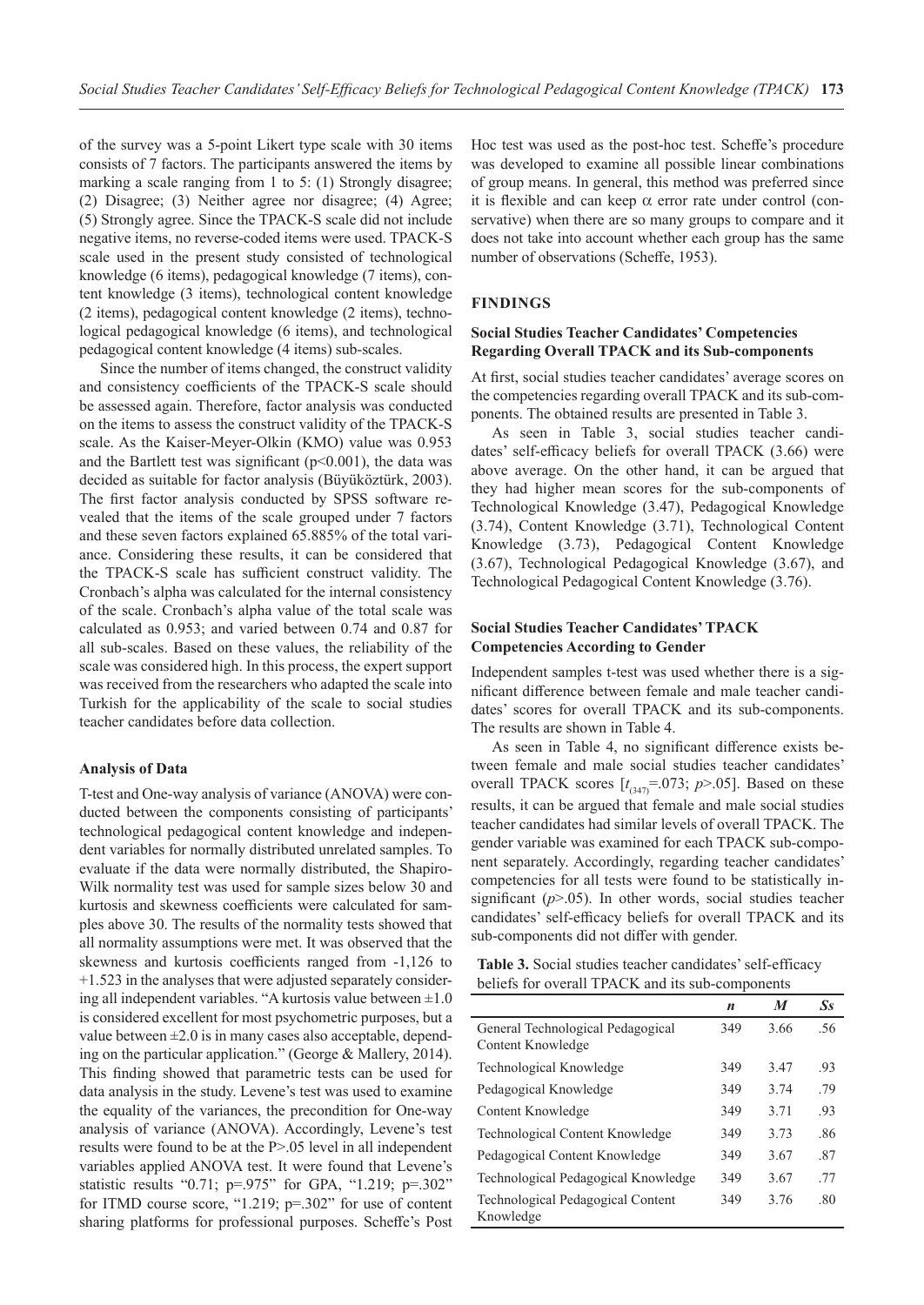of the survey was a 5-point Likert type scale with 30 items consists of 7 factors. The participants answered the items by marking a scale ranging from 1 to 5: (1) Strongly disagree: (2) Disagree; (3) Neither agree nor disagree; (4) Agree; (5) Strongly agree. Since the TPACK-S scale did not include negative items, no reverse-coded items were used. TPACK-S scale used in the present study consisted of technological knowledge (6 items), pedagogical knowledge (7 items), content knowledge (3 items), technological content knowledge (2 items), pedagogical content knowledge (2 items), technological pedagogical knowledge (6 items), and technological pedagogical content knowledge (4 items) sub-scales.

Since the number of items changed, the construct validity and consistency coefficients of the TPACK-S scale should be assessed again. Therefore, factor analysis was conducted on the items to assess the construct validity of the TPACK-S scale. As the Kaiser-Meyer-Olkin (KMO) value was 0.953 and the Bartlett test was significant ( $p$ <0.001), the data was decided as suitable for factor analysis (Büyüköztürk, 2003). The first factor analysis conducted by SPSS software revealed that the items of the scale grouped under 7 factors and these seven factors explained 65.885% of the total variance. Considering these results, it can be considered that the TPACK-S scale has sufficient construct validity. The Cronbach's alpha was calculated for the internal consistency of the scale. Cronbach's alpha value of the total scale was calculated as 0.953; and varied between 0.74 and 0.87 for all sub-scales. Based on these values, the reliability of the scale was considered high. In this process, the expert support was received from the researchers who adapted the scale into Turkish for the applicability of the scale to social studies teacher candidates before data collection.

#### **Analysis of Data**

T-test and One-way analysis of variance (ANOVA) were conducted between the components consisting of participants' technological pedagogical content knowledge and independent variables for normally distributed unrelated samples. To evaluate if the data were normally distributed, the Shapiro-Wilk normality test was used for sample sizes below 30 and kurtosis and skewness coefficients were calculated for samples above 30. The results of the normality tests showed that all normality assumptions were met. It was observed that the skewness and kurtosis coefficients ranged from -1,126 to +1.523 in the analyses that were adjusted separately considering all independent variables. "A kurtosis value between  $\pm 1.0$ is considered excellent for most psychometric purposes, but a value between  $\pm 2.0$  is in many cases also acceptable, depending on the particular application." (George & Mallery, 2014). This finding showed that parametric tests can be used for data analysis in the study. Levene's test was used to examine the equality of the variances, the precondition for One-way analysis of variance (ANOVA). Accordingly, Levene's test results were found to be at the P>.05 level in all independent variables applied ANOVA test. It were found that Levene's statistic results "0.71; p=.975" for GPA, "1.219; p=.302" for ITMD course score, "1.219; p=.302" for use of content sharing platforms for professional purposes. Scheffe's Post

Hoc test was used as the post-hoc test. Scheffe's procedure was developed to examine all possible linear combinations of group means. In general, this method was preferred since it is flexible and can keep  $\alpha$  error rate under control (conservative) when there are so many groups to compare and it does not take into account whether each group has the same number of observations (Scheffe, 1953).

### **FINDINGS**

### **Social Studies Teacher Candidates' Competencies Regarding Overall TPACK and its Sub-components**

At first, social studies teacher candidates' average scores on the competencies regarding overall TPACK and its sub-components. The obtained results are presented in Table 3.

As seen in Table 3, social studies teacher candidates' self-efficacy beliefs for overall TPACK (3.66) were above average. On the other hand, it can be argued that they had higher mean scores for the sub-components of Technological Knowledge (3.47), Pedagogical Knowledge (3.74), Content Knowledge (3.71), Technological Content Knowledge (3.73), Pedagogical Content Knowledge (3.67), Technological Pedagogical Knowledge (3.67), and Technological Pedagogical Content Knowledge (3.76).

### **Social Studies Teacher Candidates' TPACK Competencies According to Gender**

Independent samples t-test was used whether there is a significant difference between female and male teacher candidates' scores for overall TPACK and its sub-components. The results are shown in Table 4.

As seen in Table 4, no significant difference exists between female and male social studies teacher candidates' overall TPACK scores  $[t_{(347)} = .073; p > .05]$ . Based on these results, it can be argued that female and male social studies teacher candidates had similar levels of overall TPACK. The gender variable was examined for each TPACK sub-component separately. Accordingly, regarding teacher candidates' competencies for all tests were found to be statistically insignificant (*p*>.05). In other words, social studies teacher candidates' self-efficacy beliefs for overall TPACK and its sub-components did not differ with gender.

**Table 3.** Social studies teacher candidates' self-efficacy beliefs for overall TPACK and its sub-components

|                                     | $\boldsymbol{n}$ | M    | $S_{S}$ |
|-------------------------------------|------------------|------|---------|
| General Technological Pedagogical   | 349              | 3.66 | .56     |
| Content Knowledge                   |                  |      |         |
| Technological Knowledge             | 349              | 3.47 | .93     |
| Pedagogical Knowledge               | 349              | 3.74 | .79     |
| Content Knowledge                   | 349              | 3.71 | .93     |
| Technological Content Knowledge     | 349              | 3.73 | .86     |
| Pedagogical Content Knowledge       | 349              | 3.67 | .87     |
| Technological Pedagogical Knowledge | 349              | 3.67 | .77     |
| Technological Pedagogical Content   | 349              | 3.76 | .80     |
| Knowledge                           |                  |      |         |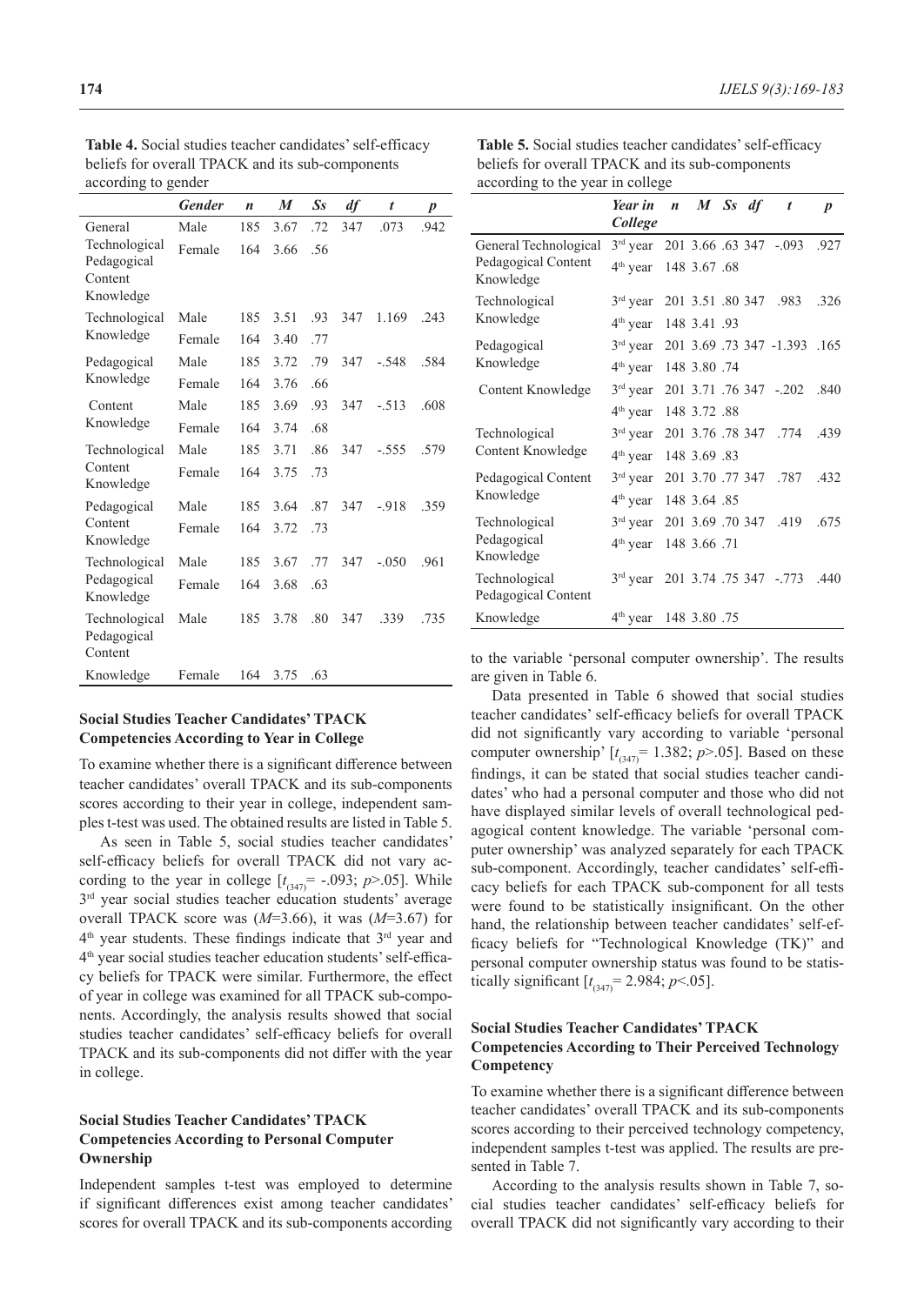|                                                      | <b>Gender</b> | $\boldsymbol{n}$ | $\boldsymbol{M}$ | $S_{S}$ | df  | $\boldsymbol{t}$ | $\boldsymbol{p}$ |
|------------------------------------------------------|---------------|------------------|------------------|---------|-----|------------------|------------------|
| General                                              | Male          | 185              | 3.67             | .72     | 347 | .073             | .942             |
| Technological<br>Pedagogical<br>Content<br>Knowledge | Female        | 164              | 3.66             | .56     |     |                  |                  |
| Technological                                        | Male          | 185              | 3.51             | .93     | 347 | 1.169            | .243             |
| Knowledge                                            | Female        | 164              | 3.40             | .77     |     |                  |                  |
| Pedagogical                                          | Male          | 185              | 3.72             | .79     | 347 | $-.548$          | .584             |
| Knowledge                                            | Female        | 164              | 3.76             | .66     |     |                  |                  |
| Content                                              | Male          | 185              | 3.69             | .93     | 347 | $-.513$          | .608             |
| Knowledge                                            | Female        | 164              | 3.74             | .68     |     |                  |                  |
| Technological                                        | Male          | 185              | 3.71             | .86     | 347 | $-.555$          | .579             |
| Content<br>Knowledge                                 | Female        | 164              | 3.75             | .73     |     |                  |                  |
| Pedagogical                                          | Male          | 185              | 3.64             | .87     | 347 | $-0.918$         | .359             |
| Content<br>Knowledge                                 | Female        | 164              | 3.72             | .73     |     |                  |                  |
| Technological                                        | Male          | 185              | 3.67             | .77     | 347 | $-.050$          | .961             |
| Pedagogical<br>Knowledge                             | Female        | 164              | 3.68             | .63     |     |                  |                  |
| Technological<br>Pedagogical<br>Content              | Male          | 185              | 3.78             | .80     | 347 | .339             | .735             |
| Knowledge                                            | Female        | 164              | 3.75             | .63     |     |                  |                  |

**Table 4.** Social studies teacher candidates' self-efficacy beliefs for overall TPACK and its sub-components according to gender

**Table 5.** Social studies teacher candidates' self-efficacy beliefs for overall TPACK and its sub-components according to the year in college

|                                      | Year in n M Ss df t                        |  |  | $\boldsymbol{p}$ |
|--------------------------------------|--------------------------------------------|--|--|------------------|
|                                      | College                                    |  |  |                  |
| General Technological                | $3rd$ year 201 3.66 .63 347 -.093 .927     |  |  |                  |
| Pedagogical Content<br>Knowledge     | 4 <sup>th</sup> year 148 3.67 .68          |  |  |                  |
| Technological                        | 3 <sup>rd</sup> year 201 3.51 .80 347 .983 |  |  | .326             |
| Knowledge                            | 4 <sup>th</sup> year 148 3.41 .93          |  |  |                  |
| Pedagogical                          | 3rd year 201 3.69 .73 347 -1.393 .165      |  |  |                  |
| Knowledge                            | 4 <sup>th</sup> year 148 3.80 .74          |  |  |                  |
| Content Knowledge                    | 3rd year 201 3.71 .76 347 -.202 .840       |  |  |                  |
|                                      | 4 <sup>th</sup> year 148 3.72 .88          |  |  |                  |
| Technological                        | 3rd year 201 3.76 .78 347 .774             |  |  | .439             |
| Content Knowledge                    | $4th$ year 148 3.69 .83                    |  |  |                  |
| Pedagogical Content                  | 3rd year 201 3.70 .77 347 .787             |  |  | .432             |
| Knowledge                            | $4th$ year 148 3.64 .85                    |  |  |                  |
| Technological                        | $3rd$ year 201 3.69 .70 347 .419           |  |  | .675             |
| Pedagogical<br>Knowledge             | $4th$ year 148 3.66 .71                    |  |  |                  |
| Technological<br>Pedagogical Content | 3rd year 201 3.74 .75 347 -.773 .440       |  |  |                  |
| Knowledge                            | 4 <sup>th</sup> year 148 3.80 .75          |  |  |                  |

to the variable 'personal computer ownership'. The results are given in Table 6.

Data presented in Table 6 showed that social studies teacher candidates' self-efficacy beliefs for overall TPACK did not significantly vary according to variable 'personal computer ownership'  $[t_{(347)} = 1.382; p > .05]$ . Based on these findings, it can be stated that social studies teacher candidates' who had a personal computer and those who did not have displayed similar levels of overall technological pedagogical content knowledge. The variable 'personal computer ownership' was analyzed separately for each TPACK sub-component. Accordingly, teacher candidates' self-efficacy beliefs for each TPACK sub-component for all tests were found to be statistically insignificant. On the other hand, the relationship between teacher candidates' self-efficacy beliefs for "Technological Knowledge (TK)" and personal computer ownership status was found to be statistically significant  $[t_{(347)} = 2.984; p<.05]$ .

## **Social Studies Teacher Candidates' TPACK Competencies According to Their Perceived Technology Competency**

To examine whether there is a significant difference between teacher candidates' overall TPACK and its sub-components scores according to their perceived technology competency, independent samples t-test was applied. The results are presented in Table 7.

According to the analysis results shown in Table 7, social studies teacher candidates' self-efficacy beliefs for overall TPACK did not significantly vary according to their

# **Social Studies Teacher Candidates' TPACK Competencies According to Year in College**

To examine whether there is a significant difference between teacher candidates' overall TPACK and its sub-components scores according to their year in college, independent samples t-test was used. The obtained results are listed in Table 5.

As seen in Table 5, social studies teacher candidates' self-efficacy beliefs for overall TPACK did not vary according to the year in college  $[t_{(347)} = -.093; p > .05]$ . While 3<sup>rd</sup> year social studies teacher education students' average overall TPACK score was (*M*=3.66), it was (*M*=3.67) for 4<sup>th</sup> year students. These findings indicate that 3<sup>rd</sup> year and 4th year social studies teacher education students' self-efficacy beliefs for TPACK were similar. Furthermore, the effect of year in college was examined for all TPACK sub-components. Accordingly, the analysis results showed that social studies teacher candidates' self-efficacy beliefs for overall TPACK and its sub-components did not differ with the year in college.

# **Social Studies Teacher Candidates' TPACK Competencies According to Personal Computer Ownership**

Independent samples t-test was employed to determine if significant differences exist among teacher candidates' scores for overall TPACK and its sub-components according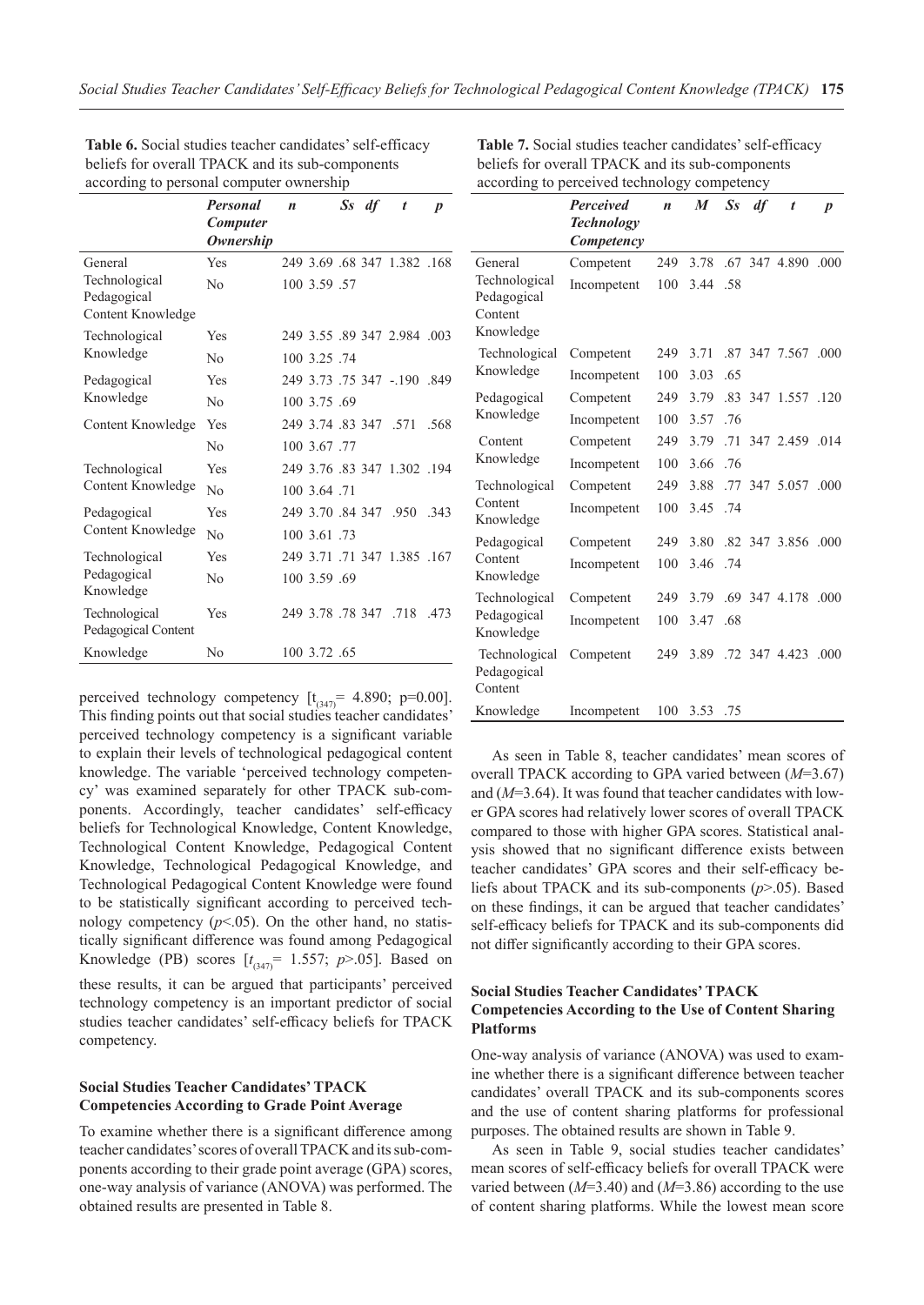| according to personal compater ownership |                  |                  |              |       |                             |                  |
|------------------------------------------|------------------|------------------|--------------|-------|-----------------------------|------------------|
|                                          | <b>Personal</b>  | $\boldsymbol{n}$ |              | Ss df | $\boldsymbol{t}$            | $\boldsymbol{p}$ |
|                                          | <b>Computer</b>  |                  |              |       |                             |                  |
|                                          | <b>Ownership</b> |                  |              |       |                             |                  |
| General                                  | Yes              |                  |              |       | 249 3.69 .68 347 1.382 .168 |                  |
| Technological                            | No               |                  | 100 3.59 .57 |       |                             |                  |
| Pedagogical<br>Content Knowledge         |                  |                  |              |       |                             |                  |
| Technological                            | Yes              |                  |              |       | 249 3.55 .89 347 2.984 .003 |                  |
| Knowledge                                | No               |                  | 100 3.25 .74 |       |                             |                  |
| Pedagogical                              | Yes              |                  |              |       | 249 3.73 .75 347 -.190 .849 |                  |
| Knowledge                                | No               |                  | 100 3.75 .69 |       |                             |                  |
| Content Knowledge                        | Yes              |                  |              |       | 249 3.74 .83 347 .571       | .568             |
|                                          | No               |                  | 100 3.67 .77 |       |                             |                  |
| Technological                            | Yes              |                  |              |       | 249 3.76 .83 347 1.302 .194 |                  |
| Content Knowledge                        | N <sub>0</sub>   |                  | 100 3.64 .71 |       |                             |                  |
| Pedagogical                              | Yes              |                  |              |       | 249 3.70 .84 347 .950 .343  |                  |
| Content Knowledge                        | N <sub>0</sub>   |                  | 100 3.61 .73 |       |                             |                  |
| Technological                            | Yes              |                  |              |       | 249 3.71 .71 347 1.385 .167 |                  |
| Pedagogical<br>Knowledge                 | No               |                  | 100 3.59 .69 |       |                             |                  |
| Technological<br>Pedagogical Content     | Yes              |                  |              |       | 249 3.78 .78 347 .718       | .473             |
| Knowledge                                | No               |                  | 100 3.72 .65 |       |                             |                  |

**Table 6.** Social studies teacher candidates' self-efficacy beliefs for overall TPACK and its sub-components according to personal computer ownership

perceived technology competency  $[t<sub>(347)</sub>] = 4.890; p=0.00]$ . This finding points out that social studies teacher candidates' perceived technology competency is a significant variable to explain their levels of technological pedagogical content knowledge. The variable 'perceived technology competency' was examined separately for other TPACK sub-components. Accordingly, teacher candidates' self-efficacy beliefs for Technological Knowledge, Content Knowledge, Technological Content Knowledge, Pedagogical Content Knowledge, Technological Pedagogical Knowledge, and Technological Pedagogical Content Knowledge were found to be statistically significant according to perceived technology competency  $(p<.05)$ . On the other hand, no statistically significant difference was found among Pedagogical Knowledge (PB) scores  $[t_{(347)} = 1.557; p > .05]$ . Based on these results, it can be argued that participants' perceived technology competency is an important predictor of social studies teacher candidates' self-efficacy beliefs for TPACK competency.

### **Social Studies Teacher Candidates' TPACK Competencies According to Grade Point Average**

To examine whether there is a significant difference among teacher candidates' scores of overall TPACK and its sub-components according to their grade point average (GPA) scores, one-way analysis of variance (ANOVA) was performed. The obtained results are presented in Table 8.

|                                         | <b>Perceived</b><br><b>Technology</b> | $\boldsymbol{n}$ | $\boldsymbol{M}$ | $S_{S}$ | df | t                  | $\boldsymbol{p}$ |
|-----------------------------------------|---------------------------------------|------------------|------------------|---------|----|--------------------|------------------|
|                                         | Competency                            |                  |                  |         |    |                    |                  |
| General                                 | Competent                             | 249              | 3.78             |         |    | .67 347 4.890      | .000.            |
| Technological<br>Pedagogical<br>Content | Incompetent                           | 100              | 3.44             | .58     |    |                    |                  |
| Knowledge                               |                                       |                  |                  |         |    |                    |                  |
| Technological                           | Competent                             | 249              | 3.71             |         |    | .87 347 7.567      | .000             |
| Knowledge                               | Incompetent                           | 100              | 3.03             | .65     |    |                    |                  |
| Pedagogical                             | Competent                             | 249              | 3.79             |         |    | .83 347 1.557      | .120             |
| Knowledge                               | Incompetent                           | 100              | 3.57             | .76     |    |                    |                  |
| Content                                 | Competent                             | 249              | 3.79             |         |    | .71 347 2.459 .014 |                  |
| Knowledge                               | Incompetent                           | 100              | 3.66             | .76     |    |                    |                  |
| Technological                           | Competent                             | 249              | 3.88             |         |    | .77 347 5.057      | .000             |
| Content<br>Knowledge                    | Incompetent                           | 100              | 3.45             | .74     |    |                    |                  |
| Pedagogical                             | Competent                             | 249              | 3.80             |         |    | .82 347 3.856 .000 |                  |
| Content<br>Knowledge                    | Incompetent                           | 100              | 3.46             | .74     |    |                    |                  |
| Technological                           | Competent                             | 249              | 3.79             |         |    | .69 347 4.178 .000 |                  |
| Pedagogical<br>Knowledge                | Incompetent                           | 100              | 3.47             | .68     |    |                    |                  |
| Technological<br>Pedagogical<br>Content | Competent                             | 249              |                  |         |    | 3.89 .72 347 4.423 | .000.            |
| Knowledge                               | Incompetent                           | 100              | 3.53 .75         |         |    |                    |                  |

**Table 7.** Social studies teacher candidates' self-efficacy beliefs for overall TPACK and its sub-components according to perceived technology competency

As seen in Table 8, teacher candidates' mean scores of overall TPACK according to GPA varied between (*M*=3.67) and (*M*=3.64). It was found that teacher candidates with lower GPA scores had relatively lower scores of overall TPACK compared to those with higher GPA scores. Statistical analysis showed that no significant difference exists between teacher candidates' GPA scores and their self-efficacy beliefs about TPACK and its sub-components (*p*>.05). Based on these findings, it can be argued that teacher candidates' self-efficacy beliefs for TPACK and its sub-components did not differ significantly according to their GPA scores.

### **Social Studies Teacher Candidates' TPACK Competencies According to the Use of Content Sharing Platforms**

One-way analysis of variance (ANOVA) was used to examine whether there is a significant difference between teacher candidates' overall TPACK and its sub-components scores and the use of content sharing platforms for professional purposes. The obtained results are shown in Table 9.

As seen in Table 9, social studies teacher candidates' mean scores of self-efficacy beliefs for overall TPACK were varied between (*M*=3.40) and (*M*=3.86) according to the use of content sharing platforms. While the lowest mean score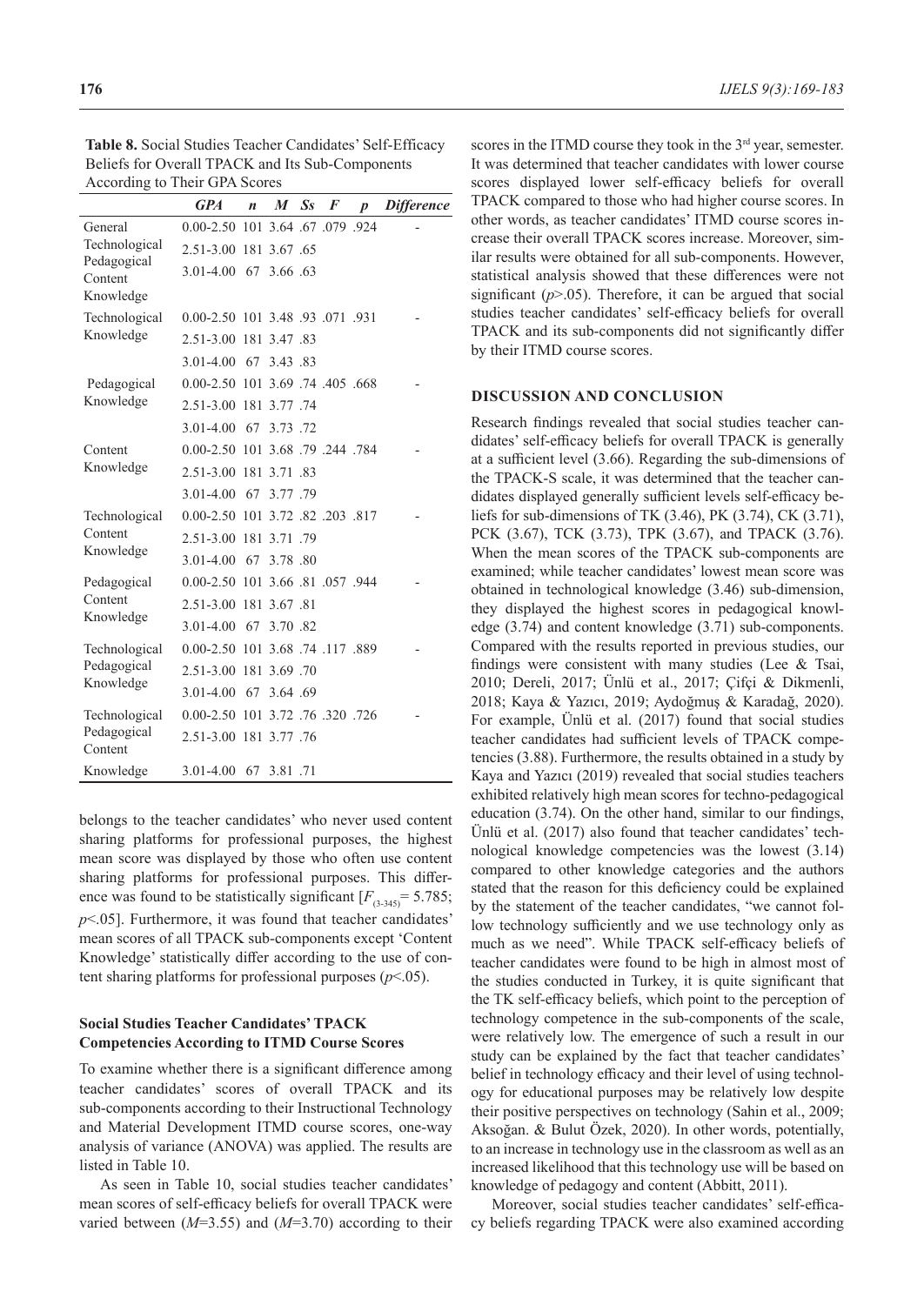**Table 8.** Social Studies Teacher Candidates' Self-Efficacy Beliefs for Overall TPACK and Its Sub-Components According to Their GPA Scores

|                                     | <b>GPA</b>                       | $\boldsymbol{n}$ | M       | $S_{S}$ | F | $\boldsymbol{p}$ | <b>Difference</b> |
|-------------------------------------|----------------------------------|------------------|---------|---------|---|------------------|-------------------|
| General                             | 0.00-2.50 101 3.64 67 079 924    |                  |         |         |   |                  |                   |
| Technological                       | 2.51-3.00 181 3.67 .65           |                  |         |         |   |                  |                   |
| Pedagogical<br>Content<br>Knowledge | 3.01-4.00 67 3.66 63             |                  |         |         |   |                  |                   |
| Technological                       | 0.00-2.50 101 3.48 .93 .071 .931 |                  |         |         |   |                  |                   |
| Knowledge                           | 2.51-3.00 181 3.47 .83           |                  |         |         |   |                  |                   |
|                                     | 3.01-4.00 67 3.43 .83            |                  |         |         |   |                  |                   |
| Pedagogical                         | 0.00-2.50 101 3.69 .74 .405 .668 |                  |         |         |   |                  |                   |
| Knowledge                           | 2.51-3.00 181 3.77 .74           |                  |         |         |   |                  |                   |
|                                     | 3.01-4.00 67 3.73 .72            |                  |         |         |   |                  |                   |
| Content                             | 0.00-2.50 101 3.68 79 244 784    |                  |         |         |   |                  |                   |
| Knowledge                           | 2.51-3.00 181 3.71 .83           |                  |         |         |   |                  |                   |
|                                     | 3.01-4.00 67 3.77 .79            |                  |         |         |   |                  |                   |
| Technological                       | 0.00-2.50 101 3.72 .82 .203 .817 |                  |         |         |   |                  |                   |
| Content                             | 2.51-3.00 181 3.71 .79           |                  |         |         |   |                  |                   |
| Knowledge                           | 3.01-4.00 67 3.78 80             |                  |         |         |   |                  |                   |
| Pedagogical                         | 0.00-2.50 101 3.66 .81 .057 .944 |                  |         |         |   |                  |                   |
| Content                             | 2.51-3.00 181 3.67 .81           |                  |         |         |   |                  |                   |
| Knowledge                           | 3.01-4.00 67 3.70 82             |                  |         |         |   |                  |                   |
| Technological                       | 0.00-2.50 101 3.68 .74 .117 .889 |                  |         |         |   |                  |                   |
| Pedagogical                         | 2.51-3.00 181 3.69 .70           |                  |         |         |   |                  |                   |
| Knowledge                           | 3.01-4.00 67 3.64 69             |                  |         |         |   |                  |                   |
| Technological                       | 0.00-2.50 101 3.72 .76 .320 .726 |                  |         |         |   |                  |                   |
| Pedagogical<br>Content              | 2.51-3.00 181 3.77 .76           |                  |         |         |   |                  |                   |
| Knowledge                           | $3.01 - 4.00$ 67                 |                  | 3.81.71 |         |   |                  |                   |

belongs to the teacher candidates' who never used content sharing platforms for professional purposes, the highest mean score was displayed by those who often use content sharing platforms for professional purposes. This difference was found to be statistically significant  $[F_{(3-345)}= 5.785;$ *p*<.05]. Furthermore, it was found that teacher candidates' mean scores of all TPACK sub-components except 'Content Knowledge' statistically differ according to the use of content sharing platforms for professional purposes (*p*<.05).

### **Social Studies Teacher Candidates' TPACK Competencies According to ITMD Course Scores**

To examine whether there is a significant difference among teacher candidates' scores of overall TPACK and its sub-components according to their Instructional Technology and Material Development ITMD course scores, one-way analysis of variance (ANOVA) was applied. The results are listed in Table 10.

As seen in Table 10, social studies teacher candidates' mean scores of self-efficacy beliefs for overall TPACK were varied between (*M*=3.55) and (*M*=3.70) according to their scores in the ITMD course they took in the 3<sup>rd</sup> year, semester. It was determined that teacher candidates with lower course scores displayed lower self-efficacy beliefs for overall TPACK compared to those who had higher course scores. In other words, as teacher candidates' ITMD course scores increase their overall TPACK scores increase. Moreover, similar results were obtained for all sub-components. However, statistical analysis showed that these differences were not significant  $(p>0.05)$ . Therefore, it can be argued that social studies teacher candidates' self-efficacy beliefs for overall TPACK and its sub-components did not significantly differ by their ITMD course scores.

### **DISCUSSION AND CONCLUSION**

Research findings revealed that social studies teacher candidates' self-efficacy beliefs for overall TPACK is generally at a sufficient level (3.66). Regarding the sub-dimensions of the TPACK-S scale, it was determined that the teacher candidates displayed generally sufficient levels self-efficacy beliefs for sub-dimensions of TK (3.46), PK (3.74), CK (3.71), PCK (3.67), TCK (3.73), TPK (3.67), and TPACK (3.76). When the mean scores of the TPACK sub-components are examined; while teacher candidates' lowest mean score was obtained in technological knowledge (3.46) sub-dimension, they displayed the highest scores in pedagogical knowledge (3.74) and content knowledge (3.71) sub-components. Compared with the results reported in previous studies, our findings were consistent with many studies (Lee & Tsai, 2010; Dereli, 2017; Ünlü et al., 2017; Çifçi & Dikmenli, 2018; Kaya & Yazıcı, 2019; Aydoğmuş & Karadağ, 2020). For example, Ünlü et al. (2017) found that social studies teacher candidates had sufficient levels of TPACK competencies (3.88). Furthermore, the results obtained in a study by Kaya and Yazıcı (2019) revealed that social studies teachers exhibited relatively high mean scores for techno-pedagogical education (3.74). On the other hand, similar to our findings, Ünlü et al. (2017) also found that teacher candidates' technological knowledge competencies was the lowest (3.14) compared to other knowledge categories and the authors stated that the reason for this deficiency could be explained by the statement of the teacher candidates, "we cannot follow technology sufficiently and we use technology only as much as we need". While TPACK self-efficacy beliefs of teacher candidates were found to be high in almost most of the studies conducted in Turkey, it is quite significant that the TK self-efficacy beliefs, which point to the perception of technology competence in the sub-components of the scale, were relatively low. The emergence of such a result in our study can be explained by the fact that teacher candidates' belief in technology efficacy and their level of using technology for educational purposes may be relatively low despite their positive perspectives on technology (Sahin et al., 2009; Aksoğan. & Bulut Özek, 2020). In other words, potentially, to an increase in technology use in the classroom as well as an increased likelihood that this technology use will be based on knowledge of pedagogy and content (Abbitt, 2011).

Moreover, social studies teacher candidates' self-efficacy beliefs regarding TPACK were also examined according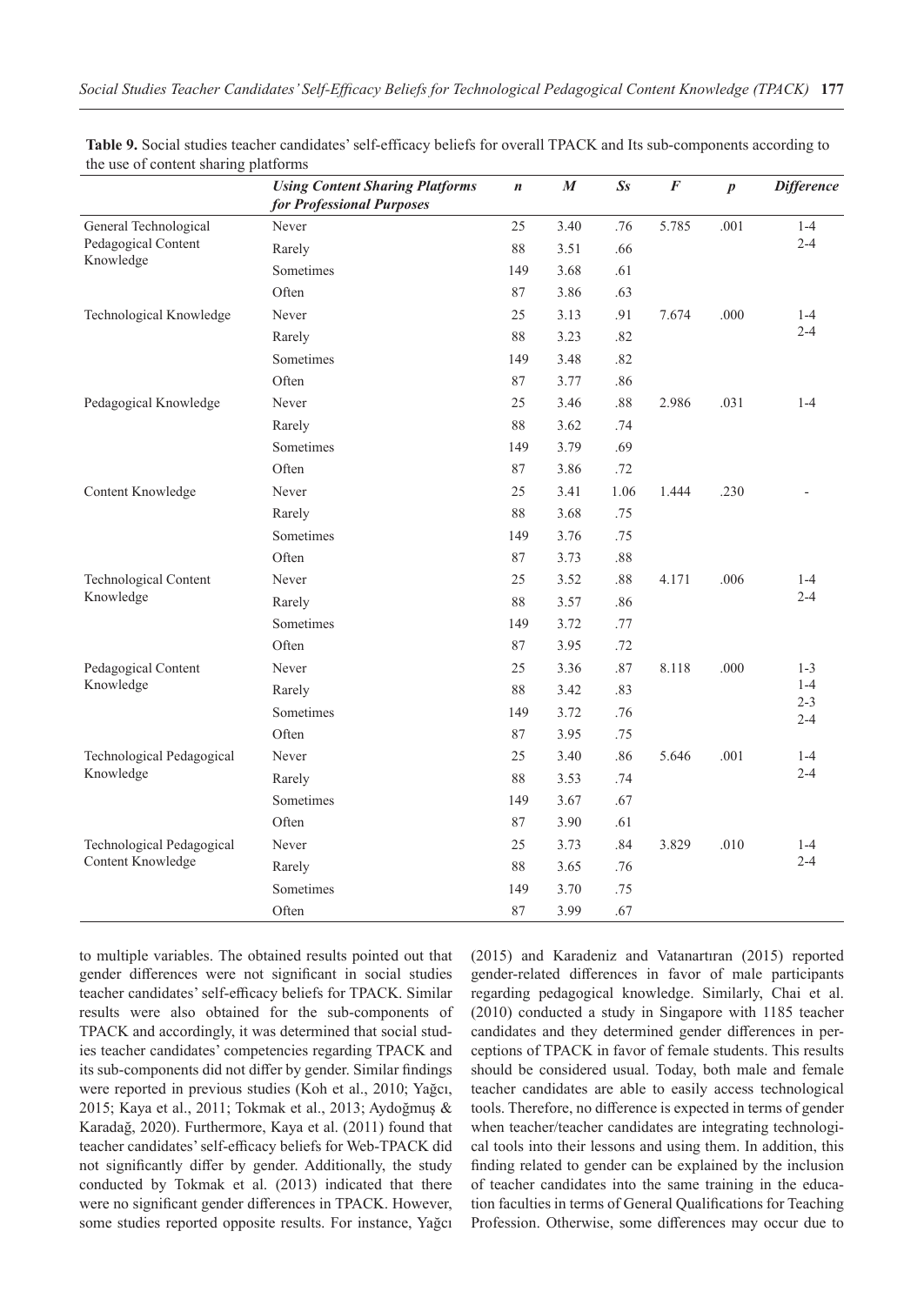|                           | <b>Using Content Sharing Platforms</b><br>for Professional Purposes | $\boldsymbol{n}$ | $\pmb{M}$ | $S_{S}$ | $\pmb{F}$ | $\boldsymbol{p}$ | <b>Difference</b>  |
|---------------------------|---------------------------------------------------------------------|------------------|-----------|---------|-----------|------------------|--------------------|
| General Technological     | Never                                                               | 25               | 3.40      | .76     | 5.785     | .001             | $1 - 4$            |
| Pedagogical Content       | Rarely                                                              | 88               | 3.51      | .66     |           |                  | $2 - 4$            |
| Knowledge                 | Sometimes                                                           | 149              | 3.68      | .61     |           |                  |                    |
|                           | Often                                                               | 87               | 3.86      | .63     |           |                  |                    |
| Technological Knowledge   | Never                                                               | 25               | 3.13      | .91     | 7.674     | .000             | $1 - 4$            |
|                           | Rarely                                                              | 88               | 3.23      | .82     |           |                  | $2 - 4$            |
|                           | Sometimes                                                           | 149              | 3.48      | .82     |           |                  |                    |
|                           | Often                                                               | 87               | 3.77      | .86     |           |                  |                    |
| Pedagogical Knowledge     | Never                                                               | 25               | 3.46      | .88     | 2.986     | .031             | $1 - 4$            |
|                           | Rarely                                                              | 88               | 3.62      | .74     |           |                  |                    |
|                           | Sometimes                                                           | 149              | 3.79      | .69     |           |                  |                    |
|                           | Often                                                               | 87               | 3.86      | .72     |           |                  |                    |
| Content Knowledge         | Never                                                               | 25               | 3.41      | 1.06    | 1.444     | .230             |                    |
|                           | Rarely                                                              | 88               | 3.68      | .75     |           |                  |                    |
|                           | Sometimes                                                           | 149              | 3.76      | .75     |           |                  |                    |
|                           | Often                                                               | 87               | 3.73      | $.88\,$ |           |                  |                    |
| Technological Content     | Never                                                               | 25               | 3.52      | .88     | 4.171     | .006             | $1 - 4$            |
| Knowledge                 | Rarely                                                              | 88               | 3.57      | .86     |           |                  | $2 - 4$            |
|                           | Sometimes                                                           | 149              | 3.72      | .77     |           |                  |                    |
|                           | Often                                                               | 87               | 3.95      | .72     |           |                  |                    |
| Pedagogical Content       | Never                                                               | 25               | 3.36      | .87     | 8.118     | .000             | $1 - 3$            |
| Knowledge                 | Rarely                                                              | 88               | 3.42      | .83     |           |                  | $1-4$              |
|                           | Sometimes                                                           | 149              | 3.72      | .76     |           |                  | $2 - 3$<br>$2 - 4$ |
|                           | Often                                                               | 87               | 3.95      | .75     |           |                  |                    |
| Technological Pedagogical | Never                                                               | 25               | 3.40      | .86     | 5.646     | .001             | $1 - 4$            |
| Knowledge                 | Rarely                                                              | 88               | 3.53      | .74     |           |                  | $2 - 4$            |
|                           | Sometimes                                                           | 149              | 3.67      | .67     |           |                  |                    |
|                           | Often                                                               | 87               | 3.90      | .61     |           |                  |                    |
| Technological Pedagogical | Never                                                               | 25               | 3.73      | .84     | 3.829     | .010             | $1 - 4$            |
| Content Knowledge         | Rarely                                                              | 88               | 3.65      | .76     |           |                  | $2 - 4$            |
|                           | Sometimes                                                           | 149              | 3.70      | .75     |           |                  |                    |
|                           | Often                                                               | 87               | 3.99      | .67     |           |                  |                    |

**Table 9.** Social studies teacher candidates' self-efficacy beliefs for overall TPACK and Its sub-components according to the use of content sharing platforms

to multiple variables. The obtained results pointed out that gender differences were not significant in social studies teacher candidates' self-efficacy beliefs for TPACK. Similar results were also obtained for the sub-components of TPACK and accordingly, it was determined that social studies teacher candidates' competencies regarding TPACK and its sub-components did not differ by gender. Similar findings were reported in previous studies (Koh et al., 2010; Yağcı, 2015; Kaya et al., 2011; Tokmak et al., 2013; Aydoğmuş & Karadağ, 2020). Furthermore, Kaya et al. (2011) found that teacher candidates' self-efficacy beliefs for Web-TPACK did not significantly differ by gender. Additionally, the study conducted by Tokmak et al. (2013) indicated that there were no significant gender differences in TPACK. However, some studies reported opposite results. For instance, Yağcı

(2015) and Karadeniz and Vatanartıran (2015) reported gender-related differences in favor of male participants regarding pedagogical knowledge. Similarly, Chai et al. (2010) conducted a study in Singapore with 1185 teacher candidates and they determined gender differences in perceptions of TPACK in favor of female students. This results should be considered usual. Today, both male and female teacher candidates are able to easily access technological tools. Therefore, no difference is expected in terms of gender when teacher/teacher candidates are integrating technological tools into their lessons and using them. In addition, this finding related to gender can be explained by the inclusion of teacher candidates into the same training in the education faculties in terms of General Qualifications for Teaching Profession. Otherwise, some differences may occur due to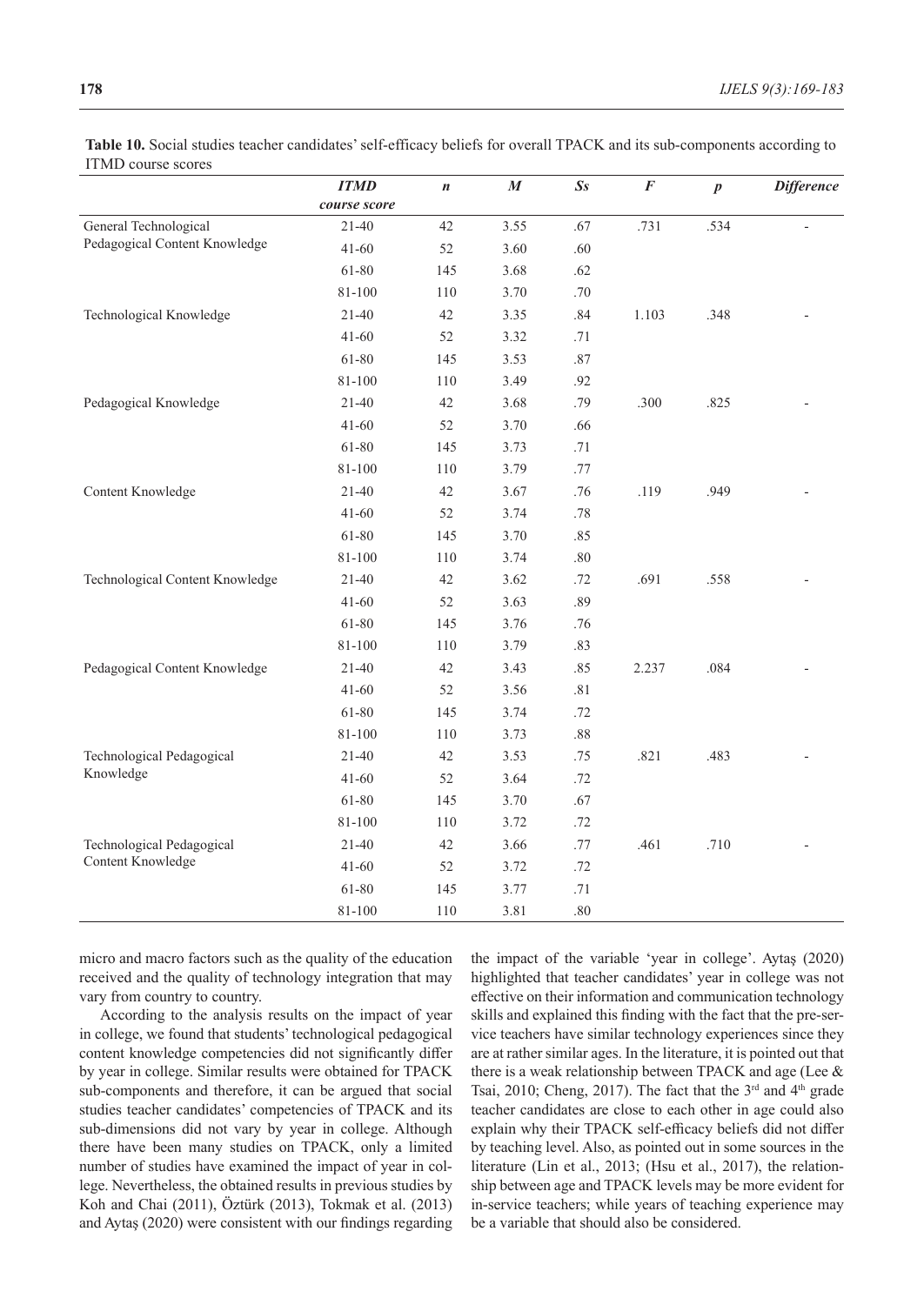**Table 10.** Social studies teacher candidates' self-efficacy beliefs for overall TPACK and its sub-components according to ITMD course scores

| LLIVID COULSE SECTES            | <b>ITMD</b>  | $\boldsymbol{n}$ | $\pmb{M}$ | $S_{S}$ | $\boldsymbol{F}$ | $\boldsymbol{p}$ | <b>Difference</b> |
|---------------------------------|--------------|------------------|-----------|---------|------------------|------------------|-------------------|
|                                 | course score |                  |           |         |                  |                  |                   |
| General Technological           | $21 - 40$    | 42               | 3.55      | .67     | .731             | .534             |                   |
| Pedagogical Content Knowledge   | $41 - 60$    | 52               | 3.60      | .60     |                  |                  |                   |
|                                 | 61-80        | 145              | 3.68      | .62     |                  |                  |                   |
|                                 | 81-100       | 110              | 3.70      | $.70\,$ |                  |                  |                   |
| Technological Knowledge         | $21 - 40$    | 42               | 3.35      | .84     | 1.103            | .348             |                   |
|                                 | $41 - 60$    | 52               | 3.32      | $.71\,$ |                  |                  |                   |
|                                 | 61-80        | 145              | 3.53      | $.87\,$ |                  |                  |                   |
|                                 | 81-100       | 110              | 3.49      | .92     |                  |                  |                   |
| Pedagogical Knowledge           | $21 - 40$    | 42               | 3.68      | .79     | .300             | .825             |                   |
|                                 | $41 - 60$    | 52               | 3.70      | .66     |                  |                  |                   |
|                                 | 61-80        | 145              | 3.73      | .71     |                  |                  |                   |
|                                 | 81-100       | 110              | 3.79      | .77     |                  |                  |                   |
| Content Knowledge               | $21 - 40$    | 42               | 3.67      | .76     | .119             | .949             |                   |
|                                 | $41 - 60$    | 52               | 3.74      | $.78\,$ |                  |                  |                   |
|                                 | 61-80        | 145              | 3.70      | .85     |                  |                  |                   |
|                                 | 81-100       | 110              | 3.74      | $.80\,$ |                  |                  |                   |
| Technological Content Knowledge | $21 - 40$    | 42               | 3.62      | .72     | .691             | .558             |                   |
|                                 | $41 - 60$    | 52               | 3.63      | .89     |                  |                  |                   |
|                                 | 61-80        | 145              | 3.76      | .76     |                  |                  |                   |
|                                 | 81-100       | 110              | 3.79      | .83     |                  |                  |                   |
| Pedagogical Content Knowledge   | $21 - 40$    | 42               | 3.43      | .85     | 2.237            | .084             |                   |
|                                 | $41 - 60$    | 52               | 3.56      | $.81\,$ |                  |                  |                   |
|                                 | 61-80        | 145              | 3.74      | .72     |                  |                  |                   |
|                                 | 81-100       | 110              | 3.73      | .88     |                  |                  |                   |
| Technological Pedagogical       | $21 - 40$    | 42               | 3.53      | .75     | .821             | .483             |                   |
| Knowledge                       | $41 - 60$    | 52               | 3.64      | .72     |                  |                  |                   |
|                                 | 61-80        | 145              | 3.70      | .67     |                  |                  |                   |
|                                 | 81-100       | 110              | 3.72      | .72     |                  |                  |                   |
| Technological Pedagogical       | $21 - 40$    | 42               | 3.66      | $.77\,$ | .461             | .710             |                   |
| Content Knowledge               | $41 - 60$    | 52               | 3.72      | .72     |                  |                  |                   |
|                                 | 61-80        | 145              | 3.77      | .71     |                  |                  |                   |
|                                 | 81-100       | 110              | 3.81      | $.80\,$ |                  |                  |                   |

micro and macro factors such as the quality of the education received and the quality of technology integration that may vary from country to country.

According to the analysis results on the impact of year in college, we found that students' technological pedagogical content knowledge competencies did not significantly differ by year in college. Similar results were obtained for TPACK sub-components and therefore, it can be argued that social studies teacher candidates' competencies of TPACK and its sub-dimensions did not vary by year in college. Although there have been many studies on TPACK, only a limited number of studies have examined the impact of year in college. Nevertheless, the obtained results in previous studies by Koh and Chai (2011), Öztürk (2013), Tokmak et al. (2013) and Aytaş (2020) were consistent with our findings regarding the impact of the variable 'year in college'. Aytaş (2020) highlighted that teacher candidates' year in college was not effective on their information and communication technology skills and explained this finding with the fact that the pre-service teachers have similar technology experiences since they are at rather similar ages. In the literature, it is pointed out that there is a weak relationship between TPACK and age (Lee & Tsai, 2010; Cheng, 2017). The fact that the  $3<sup>rd</sup>$  and  $4<sup>th</sup>$  grade teacher candidates are close to each other in age could also explain why their TPACK self-efficacy beliefs did not differ by teaching level. Also, as pointed out in some sources in the literature (Lin et al., 2013; (Hsu et al., 2017), the relationship between age and TPACK levels may be more evident for in-service teachers; while years of teaching experience may be a variable that should also be considered.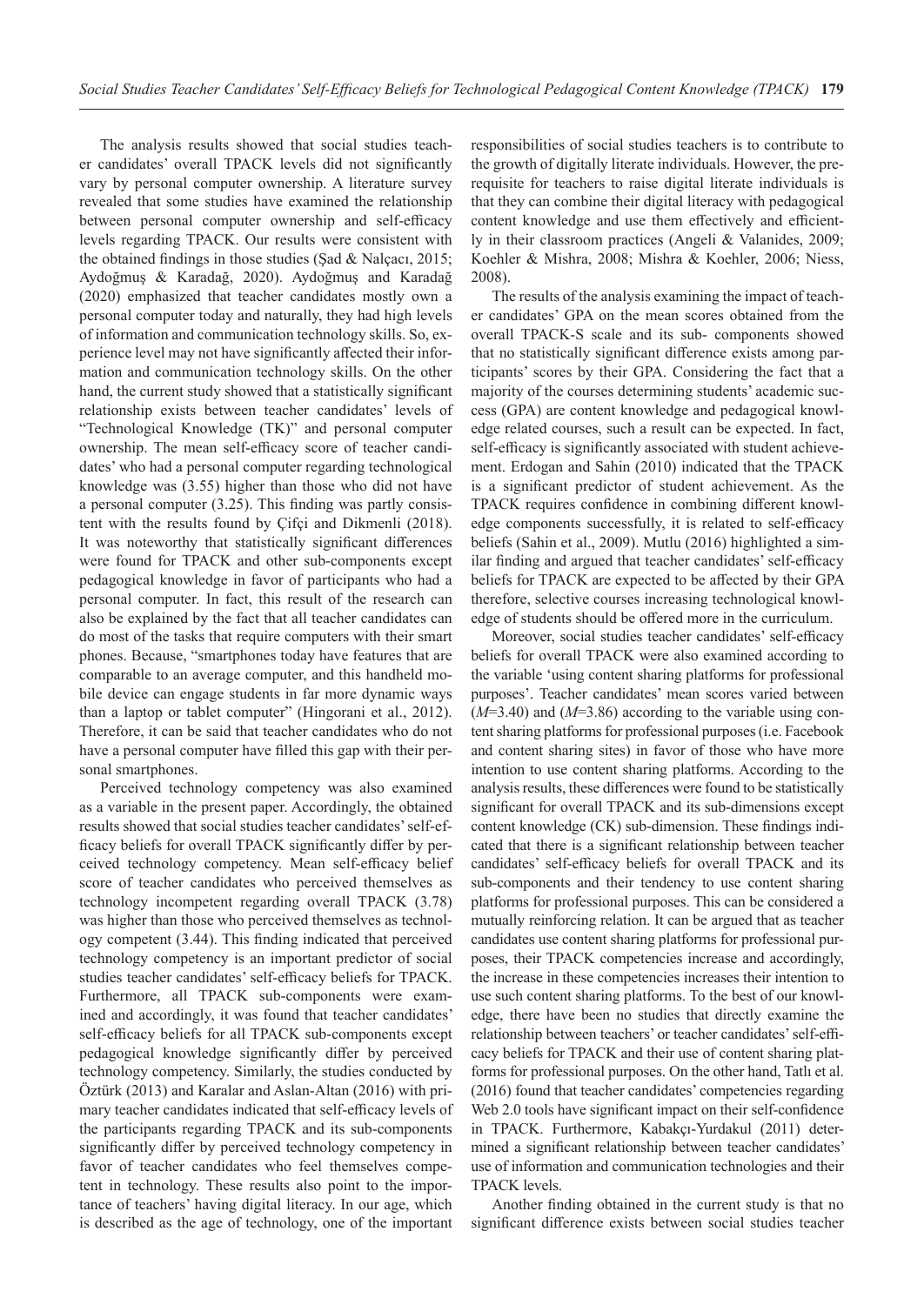The analysis results showed that social studies teacher candidates' overall TPACK levels did not significantly vary by personal computer ownership. A literature survey revealed that some studies have examined the relationship between personal computer ownership and self-efficacy levels regarding TPACK. Our results were consistent with the obtained findings in those studies (Şad & Nalçacı, 2015; Aydoğmuş & Karadağ, 2020). Aydoğmuş and Karadağ (2020) emphasized that teacher candidates mostly own a personal computer today and naturally, they had high levels of information and communication technology skills. So, experience level may not have significantly affected their information and communication technology skills. On the other hand, the current study showed that a statistically significant relationship exists between teacher candidates' levels of "Technological Knowledge (TK)" and personal computer ownership. The mean self-efficacy score of teacher candidates' who had a personal computer regarding technological knowledge was (3.55) higher than those who did not have a personal computer (3.25). This finding was partly consistent with the results found by Çifçi and Dikmenli (2018). It was noteworthy that statistically significant differences were found for TPACK and other sub-components except pedagogical knowledge in favor of participants who had a personal computer. In fact, this result of the research can also be explained by the fact that all teacher candidates can do most of the tasks that require computers with their smart phones. Because, "smartphones today have features that are comparable to an average computer, and this handheld mobile device can engage students in far more dynamic ways than a laptop or tablet computer" (Hingorani et al., 2012). Therefore, it can be said that teacher candidates who do not have a personal computer have filled this gap with their personal smartphones.

Perceived technology competency was also examined as a variable in the present paper. Accordingly, the obtained results showed that social studies teacher candidates' self-efficacy beliefs for overall TPACK significantly differ by perceived technology competency. Mean self-efficacy belief score of teacher candidates who perceived themselves as technology incompetent regarding overall TPACK (3.78) was higher than those who perceived themselves as technology competent (3.44). This finding indicated that perceived technology competency is an important predictor of social studies teacher candidates' self-efficacy beliefs for TPACK. Furthermore, all TPACK sub-components were examined and accordingly, it was found that teacher candidates' self-efficacy beliefs for all TPACK sub-components except pedagogical knowledge significantly differ by perceived technology competency. Similarly, the studies conducted by Öztürk (2013) and Karalar and Aslan-Altan (2016) with primary teacher candidates indicated that self-efficacy levels of the participants regarding TPACK and its sub-components significantly differ by perceived technology competency in favor of teacher candidates who feel themselves competent in technology. These results also point to the importance of teachers' having digital literacy. In our age, which is described as the age of technology, one of the important responsibilities of social studies teachers is to contribute to the growth of digitally literate individuals. However, the prerequisite for teachers to raise digital literate individuals is that they can combine their digital literacy with pedagogical content knowledge and use them effectively and efficiently in their classroom practices (Angeli & Valanides, 2009; Koehler & Mishra, 2008; Mishra & Koehler, 2006; Niess, 2008).

The results of the analysis examining the impact of teacher candidates' GPA on the mean scores obtained from the overall TPACK-S scale and its sub- components showed that no statistically significant difference exists among participants' scores by their GPA. Considering the fact that a majority of the courses determining students' academic success (GPA) are content knowledge and pedagogical knowledge related courses, such a result can be expected. In fact, self-efficacy is significantly associated with student achievement. Erdogan and Sahin (2010) indicated that the TPACK is a significant predictor of student achievement. As the TPACK requires confidence in combining different knowledge components successfully, it is related to self-efficacy beliefs (Sahin et al., 2009). Mutlu (2016) highlighted a similar finding and argued that teacher candidates' self-efficacy beliefs for TPACK are expected to be affected by their GPA therefore, selective courses increasing technological knowledge of students should be offered more in the curriculum.

Moreover, social studies teacher candidates' self-efficacy beliefs for overall TPACK were also examined according to the variable 'using content sharing platforms for professional purposes'. Teacher candidates' mean scores varied between (*M*=3.40) and (*M*=3.86) according to the variable using content sharing platforms for professional purposes (i.e. Facebook and content sharing sites) in favor of those who have more intention to use content sharing platforms. According to the analysis results, these differences were found to be statistically significant for overall TPACK and its sub-dimensions except content knowledge (CK) sub-dimension. These findings indicated that there is a significant relationship between teacher candidates' self-efficacy beliefs for overall TPACK and its sub-components and their tendency to use content sharing platforms for professional purposes. This can be considered a mutually reinforcing relation. It can be argued that as teacher candidates use content sharing platforms for professional purposes, their TPACK competencies increase and accordingly, the increase in these competencies increases their intention to use such content sharing platforms. To the best of our knowledge, there have been no studies that directly examine the relationship between teachers' or teacher candidates' self-efficacy beliefs for TPACK and their use of content sharing platforms for professional purposes. On the other hand, Tatlı et al. (2016) found that teacher candidates' competencies regarding Web 2.0 tools have significant impact on their self-confidence in TPACK. Furthermore, Kabakçı-Yurdakul (2011) determined a significant relationship between teacher candidates' use of information and communication technologies and their TPACK levels.

Another finding obtained in the current study is that no significant difference exists between social studies teacher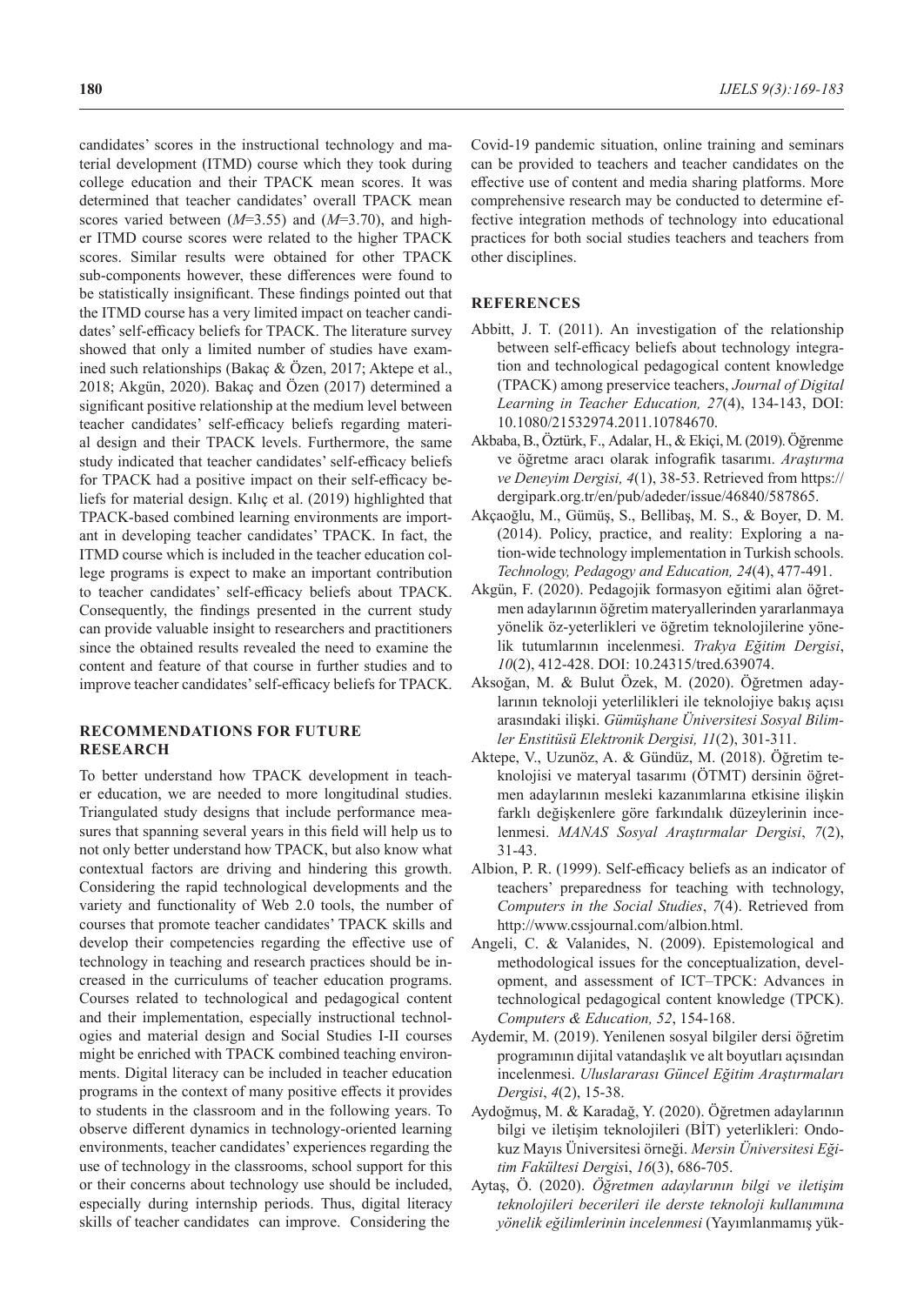candidates' scores in the instructional technology and material development (ITMD) course which they took during college education and their TPACK mean scores. It was determined that teacher candidates' overall TPACK mean scores varied between (*M*=3.55) and (*M*=3.70), and higher ITMD course scores were related to the higher TPACK scores. Similar results were obtained for other TPACK sub-components however, these differences were found to be statistically insignificant. These findings pointed out that the ITMD course has a very limited impact on teacher candidates' self-efficacy beliefs for TPACK. The literature survey showed that only a limited number of studies have examined such relationships (Bakaç & Özen, 2017; Aktepe et al., 2018; Akgün, 2020). Bakaç and Özen (2017) determined a significant positive relationship at the medium level between teacher candidates' self-efficacy beliefs regarding material design and their TPACK levels. Furthermore, the same study indicated that teacher candidates' self-efficacy beliefs for TPACK had a positive impact on their self-efficacy beliefs for material design. Kılıç et al. (2019) highlighted that TPACK-based combined learning environments are important in developing teacher candidates' TPACK. In fact, the ITMD course which is included in the teacher education college programs is expect to make an important contribution to teacher candidates' self-efficacy beliefs about TPACK. Consequently, the findings presented in the current study can provide valuable insight to researchers and practitioners since the obtained results revealed the need to examine the content and feature of that course in further studies and to improve teacher candidates' self-efficacy beliefs for TPACK.

# **RECOMMENDATIONS FOR FUTURE RESEARCH**

To better understand how TPACK development in teacher education, we are needed to more longitudinal studies. Triangulated study designs that include performance measures that spanning several years in this field will help us to not only better understand how TPACK, but also know what contextual factors are driving and hindering this growth. Considering the rapid technological developments and the variety and functionality of Web 2.0 tools, the number of courses that promote teacher candidates' TPACK skills and develop their competencies regarding the effective use of technology in teaching and research practices should be increased in the curriculums of teacher education programs. Courses related to technological and pedagogical content and their implementation, especially instructional technologies and material design and Social Studies I-II courses might be enriched with TPACK combined teaching environments. Digital literacy can be included in teacher education programs in the context of many positive effects it provides to students in the classroom and in the following years. To observe different dynamics in technology-oriented learning environments, teacher candidates' experiences regarding the use of technology in the classrooms, school support for this or their concerns about technology use should be included, especially during internship periods. Thus, digital literacy skills of teacher candidates can improve. Considering the

Covid-19 pandemic situation, online training and seminars can be provided to teachers and teacher candidates on the effective use of content and media sharing platforms. More comprehensive research may be conducted to determine effective integration methods of technology into educational practices for both social studies teachers and teachers from other disciplines.

### **REFERENCES**

- Abbitt, J. T. (2011). An investigation of the relationship between self-efficacy beliefs about technology integration and technological pedagogical content knowledge (TPACK) among preservice teachers, *Journal of Digital Learning in Teacher Education, 27*(4), 134-143, DOI: 10.1080/21532974.2011.10784670.
- Akbaba, B., Öztürk,F., Adalar, H., & Ekiçi, M. (2019). Öğrenme ve öğretme aracı olarak infografik tasarımı. *Araştırma ve Deneyim Dergisi, 4*(1), 38-53. Retrieved from https:// dergipark.org.tr/en/pub/adeder/issue/46840/587865.
- Akçaoğlu, M., Gümüş, S., Bellibaş, M. S., & Boyer, D. M. (2014). Policy, practice, and reality: Exploring a nation-wide technology implementation in Turkish schools. *Technology, Pedagogy and Education, 24*(4), 477-491.
- Akgün, F. (2020). Pedagojik formasyon eğitimi alan öğretmen adaylarının öğretim materyallerinden yararlanmaya yönelik öz-yeterlikleri ve öğretim teknolojilerine yönelik tutumlarının incelenmesi. *Trakya Eğitim Dergisi*, *10*(2), 412-428. DOI: 10.24315/tred.639074.
- Aksoğan, M. & Bulut Özek, M. (2020). Öğretmen adaylarının teknoloji yeterlilikleri ile teknolojiye bakış açısı arasındaki ilişki. *Gümüşhane Üniversitesi Sosyal Bilimler Enstitüsü Elektronik Dergisi, 11*(2), 301-311.
- Aktepe, V., Uzunöz, A. & Gündüz, M. (2018). Öğretim teknolojisi ve materyal tasarımı (ÖTMT) dersinin öğretmen adaylarının mesleki kazanımlarına etkisine ilişkin farklı değişkenlere göre farkındalık düzeylerinin incelenmesi. *MANAS Sosyal Araştırmalar Dergisi*, *7*(2), 31-43.
- Albion, P. R. (1999). Self-efficacy beliefs as an indicator of teachers' preparedness for teaching with technology, *Computers in the Social Studies*, *7*(4). Retrieved from http://www.cssjournal.com/albion.html.
- Angeli, C. & Valanides, N. (2009). Epistemological and methodological issues for the conceptualization, development, and assessment of ICT–TPCK: Advances in technological pedagogical content knowledge (TPCK). *Computers & Education, 52*, 154-168.
- Aydemir, M. (2019). Yenilenen sosyal bilgiler dersi öğretim programının dijital vatandaşlık ve alt boyutları açısından incelenmesi. *Uluslararası Güncel Eğitim Araştırmaları Dergisi*, *4*(2), 15-38.
- Aydoğmuş, M. & Karadağ, Y. (2020). Öğretmen adaylarının bilgi ve iletişim teknolojileri (BİT) yeterlikleri: Ondokuz Mayıs Üniversitesi örneği. *Mersin Üniversitesi Eğitim Fakültesi Dergis*i, *16*(3), 686-705.
- Aytaş, Ö. (2020). *Öğretmen adaylarının bilgi ve iletişim teknolojileri becerileri ile derste teknoloji kullanımına yönelik eğilimlerinin incelenmesi* (Yayımlanmamış yük-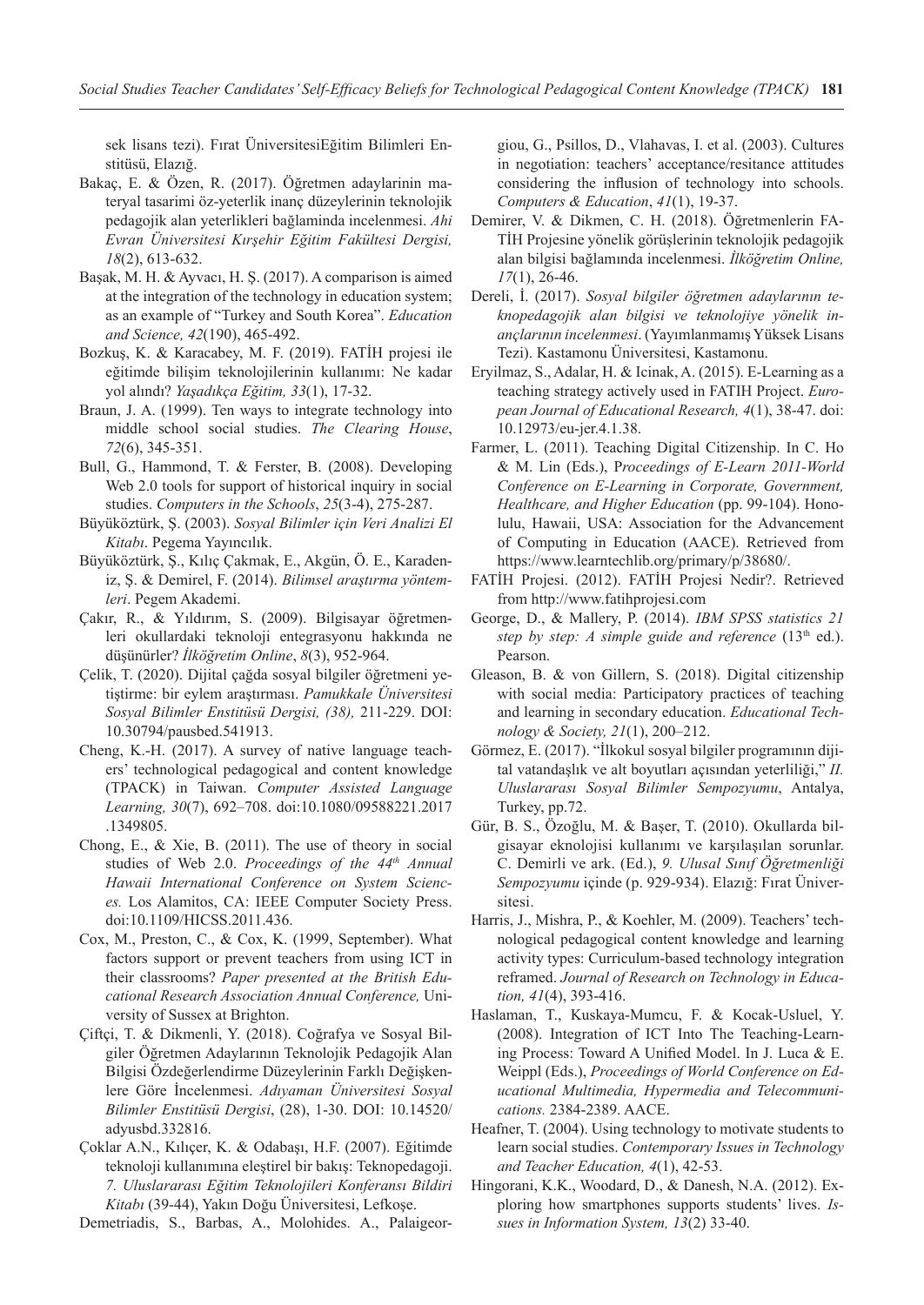sek lisans tezi). Fırat ÜniversitesiEğitim Bilimleri Enstitüsü, Elazığ.

- Bakaç, E. & Özen, R. (2017). Öğretmen adaylarinin materyal tasarimi öz-yeterlik inanç düzeylerinin teknolojik pedagojik alan yeterlikleri bağlaminda incelenmesi. *Ahi Evran Üniversitesi Kırşehir Eğitim Fakültesi Dergisi, 18*(2), 613-632.
- Başak, M. H. & Ayvacı, H. Ş. (2017). A comparison is aimed at the integration of the technology in education system; as an example of "Turkey and South Korea". *Education and Science, 42*(190), 465-492.
- Bozkuş, K. & Karacabey, M. F. (2019). FATİH projesi ile eğitimde bilişim teknolojilerinin kullanımı: Ne kadar yol alındı? *Yaşadıkça Eğitim, 33*(1), 17-32.
- Braun, J. A. (1999). Ten ways to integrate technology into middle school social studies. *The Clearing House*, *72*(6), 345-351.
- Bull, G., Hammond, T. & Ferster, B. (2008). Developing Web 2.0 tools for support of historical inquiry in social studies. *Computers in the Schools*, *25*(3-4), 275-287.
- Büyüköztürk, Ş. (2003). *Sosyal Bilimler için Veri Analizi El Kitabı*. Pegema Yayıncılık.
- Büyüköztürk, Ş., Kılıç Çakmak, E., Akgün, Ö. E., Karadeniz, Ş. & Demirel, F. (2014). *Bilimsel araştırma yöntemleri*. Pegem Akademi.
- Çakır, R., & Yıldırım, S. (2009). Bilgisayar öğretmenleri okullardaki teknoloji entegrasyonu hakkında ne düşünürler? *İlköğretim Online*, *8*(3), 952-964.
- Çelik, T. (2020). Dijital çağda sosyal bilgiler öğretmeni yetiştirme: bir eylem araştırması. *Pamukkale Üniversitesi Sosyal Bilimler Enstitüsü Dergisi, (38),* 211-229. DOI: 10.30794/pausbed.541913.
- Cheng, K.-H. (2017). A survey of native language teachers' technological pedagogical and content knowledge (TPACK) in Taiwan. *Computer Assisted Language Learning, 30*(7), 692–708. doi:10.1080/09588221.2017 .1349805.
- Chong, E., & Xie, B. (2011). The use of theory in social studies of Web 2.0. *Proceedings of the 44th Annual Hawaii International Conference on System Sciences.* Los Alamitos, CA: IEEE Computer Society Press. doi:10.1109/HICSS.2011.436.
- Cox, M., Preston, C., & Cox, K. (1999, September). What factors support or prevent teachers from using ICT in their classrooms? *Paper presented at the British Educational Research Association Annual Conference,* University of Sussex at Brighton.
- Çiftçi, T. & Dikmenli, Y. (2018). Coğrafya ve Sosyal Bilgiler Öğretmen Adaylarının Teknolojik Pedagojik Alan Bilgisi Özdeğerlendirme Düzeylerinin Farklı Değişkenlere Göre İncelenmesi. *Adıyaman Üniversitesi Sosyal Bilimler Enstitüsü Dergisi*, (28), 1-30. DOI: 10.14520/ adyusbd.332816.
- Çoklar A.N., Kılıçer, K. & Odabaşı, H.F. (2007). Eğitimde teknoloji kullanımına eleştirel bir bakış: Teknopedagoji. *7. Uluslararası Eğitim Teknolojileri Konferansı Bildiri Kitabı* (39-44), Yakın Doğu Üniversitesi, Lefkoşe.

Demetriadis, S., Barbas, A., Molohides. A., Palaigeor-

giou, G., Psillos, D., Vlahavas, I. et al. (2003). Cultures in negotiation: teachers' acceptance/resitance attitudes considering the influsion of technology into schools. *Computers & Education*, *41*(1), 19-37.

- Demirer, V. & Dikmen, C. H. (2018). Öğretmenlerin FA-TİH Projesine yönelik görüşlerinin teknolojik pedagojik alan bilgisi bağlamında incelenmesi. *İlköğretim Online, 17*(1), 26-46.
- Dereli, İ. (2017). *Sosyal bilgiler öğretmen adaylarının teknopedagojik alan bilgisi ve teknolojiye yönelik inançlarının incelenmesi*. (Yayımlanmamış Yüksek Lisans Tezi). Kastamonu Üniversitesi, Kastamonu.
- Eryilmaz, S., Adalar, H. & Icinak, A. (2015). E-Learning as a teaching strategy actively used in FATIH Project. *European Journal of Educational Research, 4*(1), 38-47. doi: 10.12973/eu-jer.4.1.38.
- Farmer, L. (2011). Teaching Digital Citizenship. In C. Ho & M. Lin (Eds.), P*roceedings of E-Learn 2011-World Conference on E-Learning in Corporate, Government, Healthcare, and Higher Education* (pp. 99-104). Honolulu, Hawaii, USA: Association for the Advancement of Computing in Education (AACE). Retrieved from https://www.learntechlib.org/primary/p/38680/.
- FATİH Projesi. (2012). FATİH Projesi Nedir?. Retrieved from http://www.fatihprojesi.com
- George, D., & Mallery, P. (2014). *IBM SPSS statistics 21 step by step: A simple guide and reference* (13<sup>th</sup> ed.). Pearson.
- Gleason, B. & von Gillern, S. (2018). Digital citizenship with social media: Participatory practices of teaching and learning in secondary education. *Educational Technology & Society, 21*(1), 200–212.
- Görmez, E. (2017). "İlkokul sosyal bilgiler programının dijital vatandaşlık ve alt boyutları açısından yeterliliği," *II. Uluslararası Sosyal Bilimler Sempozyumu*, Antalya, Turkey, pp.72.
- Gür, B. S., Özoğlu, M. & Başer, T. (2010). Okullarda bilgisayar eknolojisi kullanımı ve karşılaşılan sorunlar. C. Demirli ve ark. (Ed.), *9. Ulusal Sınıf Öğretmenliği Sempozyumu* içinde (p. 929-934). Elazığ: Fırat Üniversitesi.
- Harris, J., Mishra, P., & Koehler, M. (2009). Teachers' technological pedagogical content knowledge and learning activity types: Curriculum-based technology integration reframed. *Journal of Research on Technology in Education, 41*(4), 393-416.
- Haslaman, T., Kuskaya-Mumcu, F. & Kocak-Usluel, Y. (2008). Integration of ICT Into The Teaching-Learning Process: Toward A Unified Model. In J. Luca & E. Weippl (Eds.), *Proceedings of World Conference on Educational Multimedia, Hypermedia and Telecommunications.* 2384-2389. AACE.
- Heafner, T. (2004). Using technology to motivate students to learn social studies. *Contemporary Issues in Technology and Teacher Education, 4*(1), 42-53.
- Hingorani, K.K., Woodard, D., & Danesh, N.A. (2012). Exploring how smartphones supports students' lives. *Issues in Information System, 13*(2) 33-40.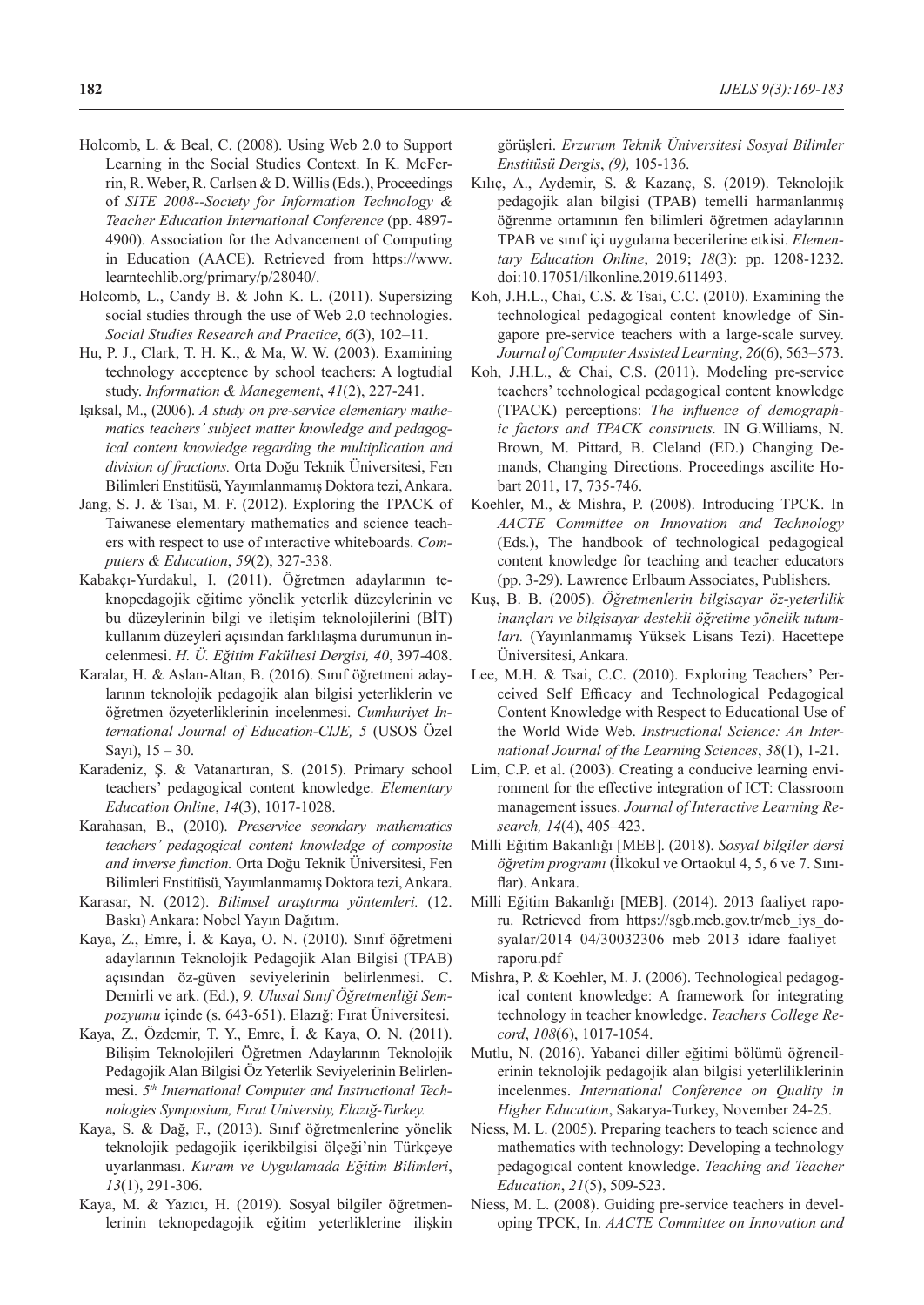- Holcomb, L. & Beal, C. (2008). Using Web 2.0 to Support Learning in the Social Studies Context. In K. McFerrin, R. Weber, R. Carlsen & D. Willis (Eds.), Proceedings of *SITE 2008--Society for Information Technology & Teacher Education International Conference* (pp. 4897- 4900). Association for the Advancement of Computing in Education (AACE). Retrieved from https://www. learntechlib.org/primary/p/28040/.
- Holcomb, L., Candy B. & John K. L. (2011). Supersizing social studies through the use of Web 2.0 technologies. *Social Studies Research and Practice*, *6*(3), 102–11.
- Hu, P. J., Clark, T. H. K., & Ma, W. W. (2003). Examining technology acceptence by school teachers: A logtudial study. *Information & Manegement*, *41*(2), 227-241.
- Işıksal, M., (2006). *A study on pre-service elementary mathematics teachers' subject matter knowledge and pedagogical content knowledge regarding the multiplication and division of fractions.* Orta Doğu Teknik Üniversitesi, Fen Bilimleri Enstitüsü, Yayımlanmamış Doktora tezi, Ankara.
- Jang, S. J. & Tsai, M. F. (2012). Exploring the TPACK of Taiwanese elementary mathematics and science teachers with respect to use of ınteractive whiteboards. *Computers & Education*, *59*(2), 327-338.
- Kabakçı-Yurdakul, I. (2011). Öğretmen adaylarının teknopedagojik eğitime yönelik yeterlik düzeylerinin ve bu düzeylerinin bilgi ve iletişim teknolojilerini (BİT) kullanım düzeyleri açısından farklılaşma durumunun incelenmesi. *H. Ü. Eğitim Fakültesi Dergisi, 40*, 397-408.
- Karalar, H. & Aslan-Altan, B. (2016). Sınıf öğretmeni adaylarının teknolojik pedagojik alan bilgisi yeterliklerin ve öğretmen özyeterliklerinin incelenmesi. *Cumhuriyet International Journal of Education-CIJE, 5* (USOS Özel Sayı),  $15 - 30$ .
- Karadeniz, Ş. & Vatanartıran, S. (2015). Primary school teachers' pedagogical content knowledge. *Elementary Education Online*, *14*(3), 1017-1028.
- Karahasan, B., (2010). *Preservice seondary mathematics teachers' pedagogical content knowledge of composite and inverse function.* Orta Doğu Teknik Üniversitesi, Fen Bilimleri Enstitüsü, Yayımlanmamış Doktora tezi, Ankara.
- Karasar, N. (2012). *Bilimsel araştırma yöntemleri.* (12. Baskı) Ankara: Nobel Yayın Dağıtım.
- Kaya, Z., Emre, İ. & Kaya, O. N. (2010). Sınıf öğretmeni adaylarının Teknolojik Pedagojik Alan Bilgisi (TPAB) açısından öz-güven seviyelerinin belirlenmesi. C. Demirli ve ark. (Ed.), *9. Ulusal Sınıf Öğretmenliği Sempozyumu* içinde (s. 643-651). Elazığ: Fırat Üniversitesi.
- Kaya, Z., Özdemir, T. Y., Emre, İ. & Kaya, O. N. (2011). Bilişim Teknolojileri Öğretmen Adaylarının Teknolojik Pedagojik Alan Bilgisi Öz Yeterlik Seviyelerinin Belirlenmesi. *5th International Computer and Instructional Technologies Symposium, Fırat University, Elazığ-Turkey.*
- Kaya, S. & Dağ, F., (2013). Sınıf öğretmenlerine yönelik teknolojik pedagojik içerikbilgisi ölçeği'nin Türkçeye uyarlanması. *Kuram ve Uygulamada Eğitim Bilimleri*, *13*(1), 291-306.
- Kaya, M. & Yazıcı, H. (2019). Sosyal bilgiler öğretmenlerinin teknopedagojik eğitim yeterliklerine ilişkin

görüşleri. *Erzurum Teknik Üniversitesi Sosyal Bilimler Enstitüsü Dergis*, *(9),* 105-136.

- Kılıç, A., Aydemir, S. & Kazanç, S. (2019). Teknolojik pedagojik alan bilgisi (TPAB) temelli harmanlanmış öğrenme ortamının fen bilimleri öğretmen adaylarının TPAB ve sınıf içi uygulama becerilerine etkisi. *Elementary Education Online*, 2019; *18*(3): pp. 1208-1232. doi:10.17051/ilkonline.2019.611493.
- Koh, J.H.L., Chai, C.S. & Tsai, C.C. (2010). Examining the technological pedagogical content knowledge of Singapore pre-service teachers with a large-scale survey. *Journal of Computer Assisted Learning*, *26*(6), 563–573.
- Koh, J.H.L., & Chai, C.S. (2011). Modeling pre-service teachers' technological pedagogical content knowledge (TPACK) perceptions: *The influence of demographic factors and TPACK constructs.* IN G.Williams, N. Brown, M. Pittard, B. Cleland (ED.) Changing Demands, Changing Directions. Proceedings ascilite Hobart 2011, 17, 735-746.
- Koehler, M., & Mishra, P. (2008). Introducing TPCK. In *AACTE Committee on Innovation and Technology* (Eds.), The handbook of technological pedagogical content knowledge for teaching and teacher educators (pp. 3-29). Lawrence Erlbaum Associates, Publishers.
- Kuş, B. B. (2005). *Öğretmenlerin bilgisayar öz-yeterlilik inançları ve bilgisayar destekli öğretime yönelik tutumları.* (Yayınlanmamış Yüksek Lisans Tezi). Hacettepe Üniversitesi, Ankara.
- Lee, M.H. & Tsai, C.C. (2010). Exploring Teachers' Perceived Self Efficacy and Technological Pedagogical Content Knowledge with Respect to Educational Use of the World Wide Web. *Instructional Science: An International Journal of the Learning Sciences*, *38*(1), 1-21.
- Lim, C.P. et al. (2003). Creating a conducive learning environment for the effective integration of ICT: Classroom management issues. *Journal of Interactive Learning Research, 14*(4), 405–423.
- Milli Eğitim Bakanlığı [MEB]. (2018). *Sosyal bilgiler dersi öğretim programı* (İlkokul ve Ortaokul 4, 5, 6 ve 7. Sınıflar). Ankara.
- Milli Eğitim Bakanlığı [MEB]. (2014). 2013 faaliyet raporu. Retrieved from https://sgb.meb.gov.tr/meb\_iys\_dosyalar/2014\_04/30032306\_meb\_2013\_idare\_faaliyet raporu.pdf
- Mishra, P. & Koehler, M. J. (2006). Technological pedagogical content knowledge: A framework for integrating technology in teacher knowledge. *Teachers College Record*, *108*(6), 1017-1054.
- Mutlu, N. (2016). Yabanci diller eğitimi bölümü öğrencilerinin teknolojik pedagojik alan bilgisi yeterliliklerinin incelenmes. *International Conference on Quality in Higher Education*, Sakarya-Turkey, November 24-25.
- Niess, M. L. (2005). Preparing teachers to teach science and mathematics with technology: Developing a technology pedagogical content knowledge. *Teaching and Teacher Education*, *21*(5), 509-523.
- Niess, M. L. (2008). Guiding pre-service teachers in developing TPCK, In. *AACTE Committee on Innovation and*